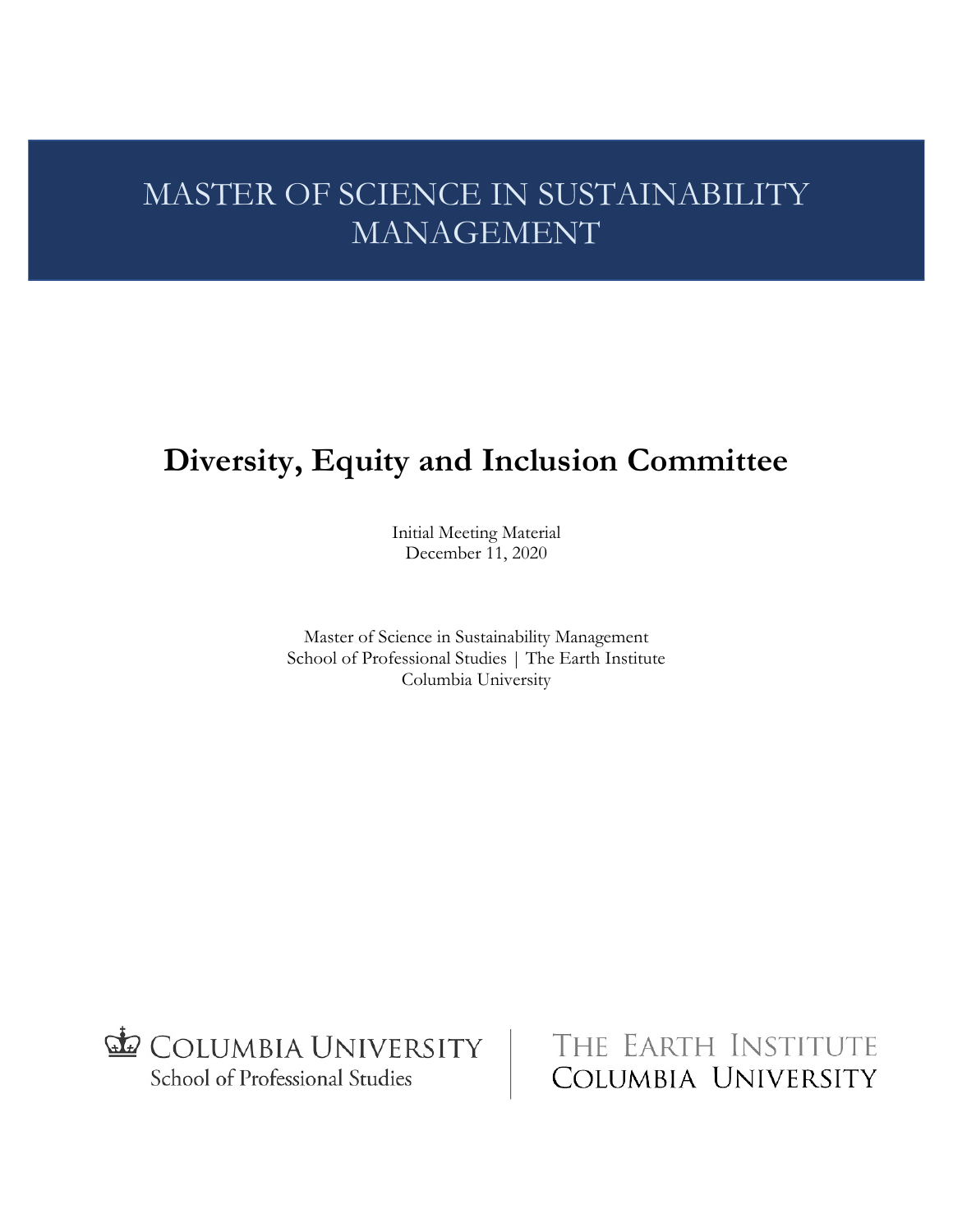# MASTER OF SCIENCE IN SUSTAINABILITY MANAGEMENT

# **Diversity, Equity and Inclusion Committee**

Initial Meeting Material December 11, 2020

Master of Science in Sustainability Management School of Professional Studies | The Earth Institute Columbia University



THE EARTH INSTITUTE COLUMBIA UNIVERSITY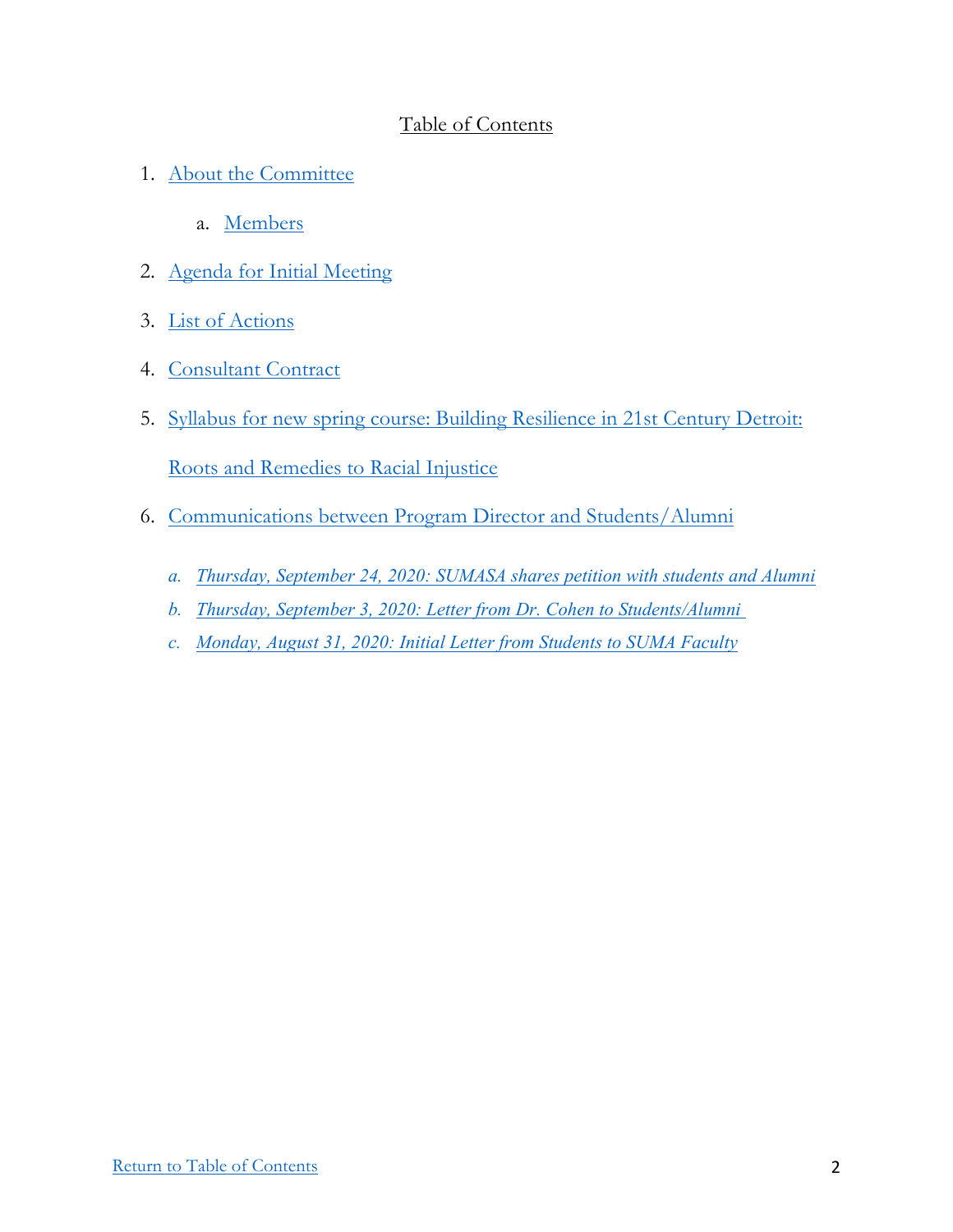## Table of Contents

- 1. About the Committee
	- a. Members
- 2. Agenda for Initial Meeting
- 3. List of Actions
- 4. Consultant Contract
- 5. Syllabus for new spring course: Building Resilience in 21st Century Detroit:

Roots and Remedies to Racial Injustice

- 6. Communications between Program Director and Students/Alumni
	- *a. Thursday, September 24, 2020: SUMASA shares petition with students and Alumni*
	- *b. Thursday, September 3, 2020: Letter from Dr. Cohen to Students/Alumni*
	- *c. Monday, August 31, 2020: Initial Letter from Students to SUMA Faculty*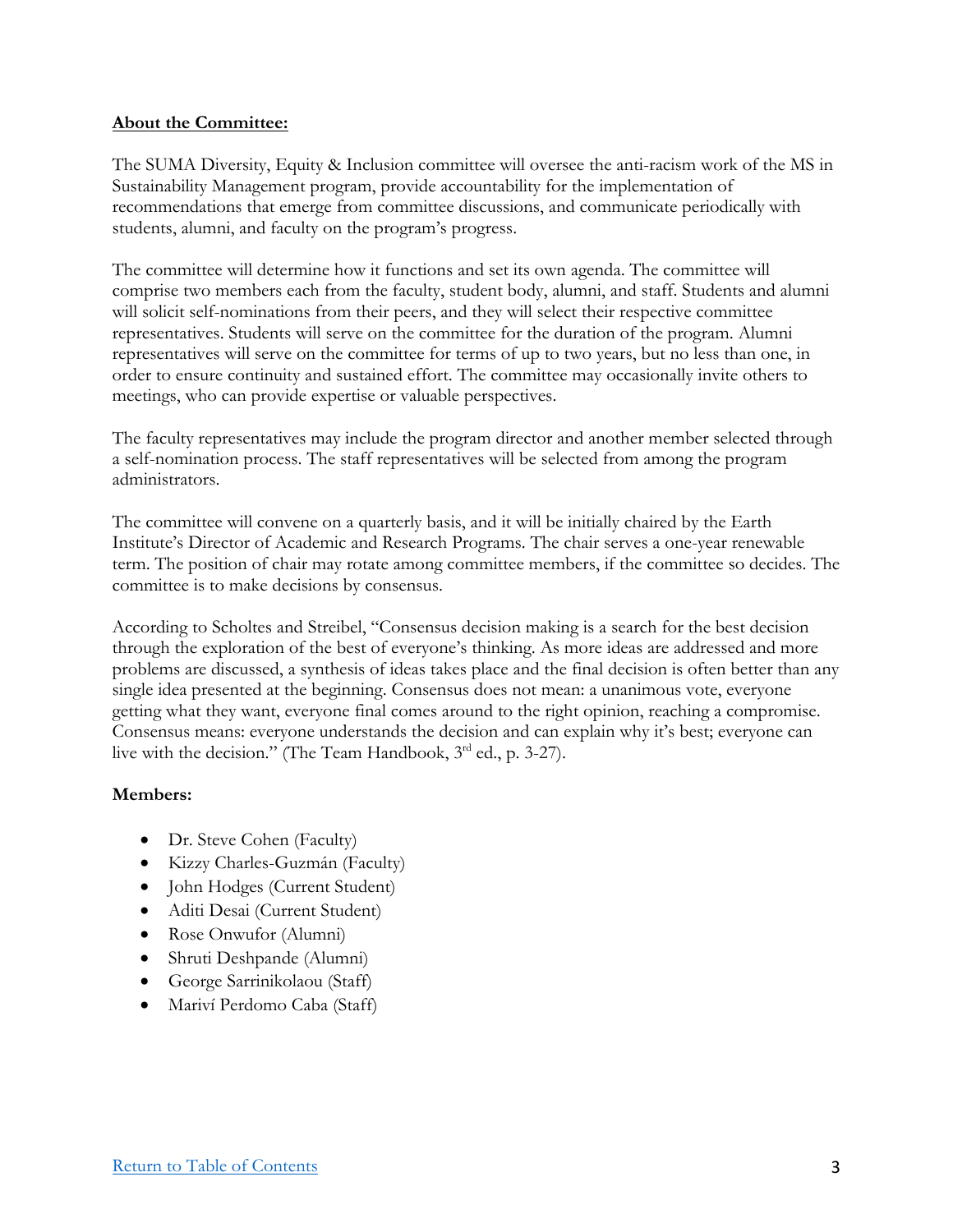## **About the Committee:**

The SUMA Diversity, Equity & Inclusion committee will oversee the anti-racism work of the MS in Sustainability Management program, provide accountability for the implementation of recommendations that emerge from committee discussions, and communicate periodically with students, alumni, and faculty on the program's progress.

The committee will determine how it functions and set its own agenda. The committee will comprise two members each from the faculty, student body, alumni, and staff. Students and alumni will solicit self-nominations from their peers, and they will select their respective committee representatives. Students will serve on the committee for the duration of the program. Alumni representatives will serve on the committee for terms of up to two years, but no less than one, in order to ensure continuity and sustained effort. The committee may occasionally invite others to meetings, who can provide expertise or valuable perspectives.

The faculty representatives may include the program director and another member selected through a self-nomination process. The staff representatives will be selected from among the program administrators.

The committee will convene on a quarterly basis, and it will be initially chaired by the Earth Institute's Director of Academic and Research Programs. The chair serves a one-year renewable term. The position of chair may rotate among committee members, if the committee so decides. The committee is to make decisions by consensus.

According to Scholtes and Streibel, "Consensus decision making is a search for the best decision through the exploration of the best of everyone's thinking. As more ideas are addressed and more problems are discussed, a synthesis of ideas takes place and the final decision is often better than any single idea presented at the beginning. Consensus does not mean: a unanimous vote, everyone getting what they want, everyone final comes around to the right opinion, reaching a compromise. Consensus means: everyone understands the decision and can explain why it's best; everyone can live with the decision." (The Team Handbook,  $3<sup>rd</sup>$  ed., p. 3-27).

## **Members:**

- Dr. Steve Cohen (Faculty)
- Kizzy Charles-Guzmán (Faculty)
- John Hodges (Current Student)
- Aditi Desai (Current Student)
- Rose Onwufor (Alumni)
- Shruti Deshpande (Alumni)
- George Sarrinikolaou (Staff)
- Mariví Perdomo Caba (Staff)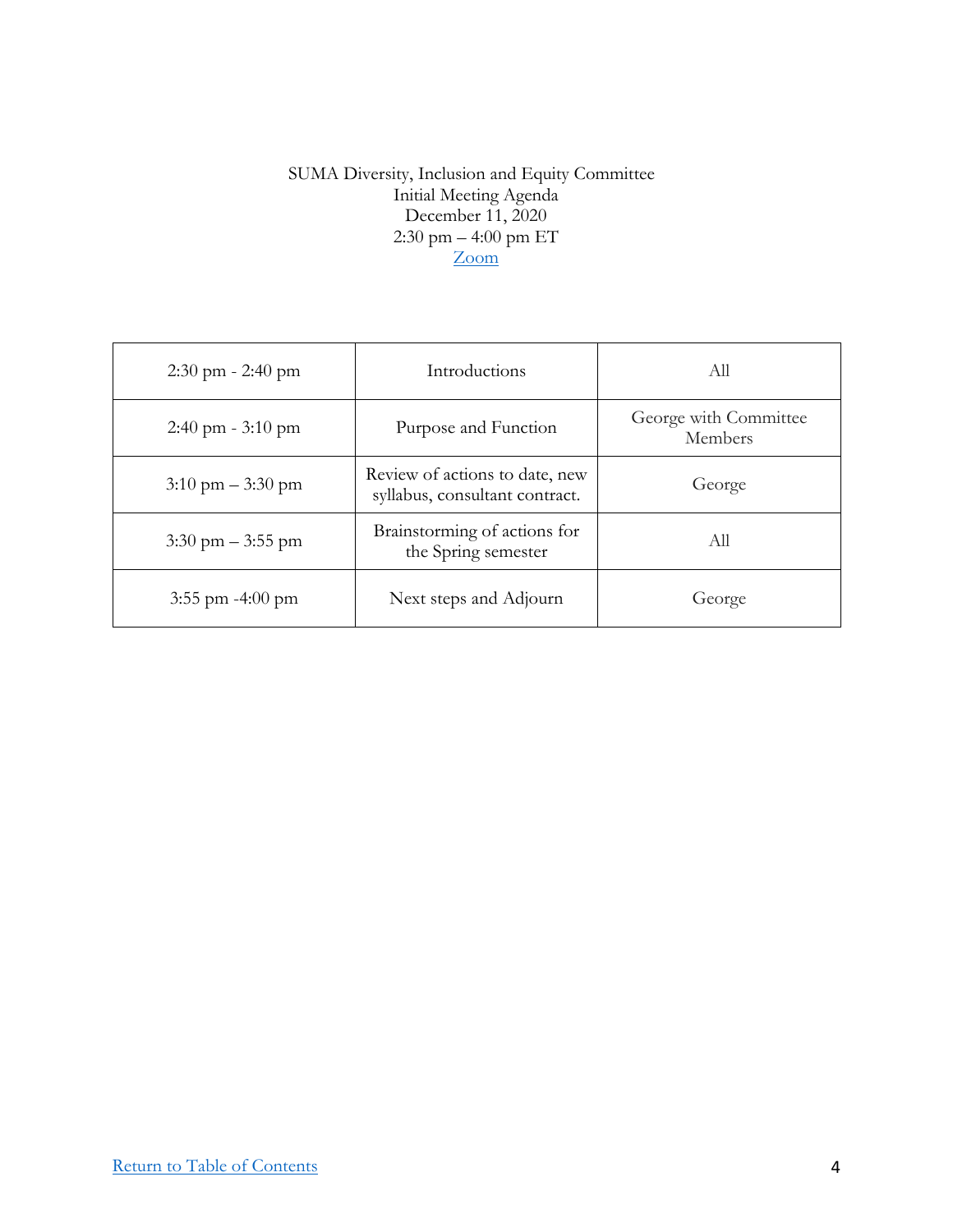## SUMA Diversity, Inclusion and Equity Committee Initial Meeting Agenda December 11, 2020 2:30 pm – 4:00 pm ET Zoom

| $2:30 \text{ pm} - 2:40 \text{ pm}$ | Introductions                                                    | All                              |
|-------------------------------------|------------------------------------------------------------------|----------------------------------|
| $2:40 \text{ pm} - 3:10 \text{ pm}$ | Purpose and Function                                             | George with Committee<br>Members |
| $3:10 \text{ pm} - 3:30 \text{ pm}$ | Review of actions to date, new<br>syllabus, consultant contract. | George                           |
| $3:30 \text{ pm} - 3:55 \text{ pm}$ | Brainstorming of actions for<br>the Spring semester              | All                              |
| $3:55$ pm $-4:00$ pm                | Next steps and Adjourn                                           | George                           |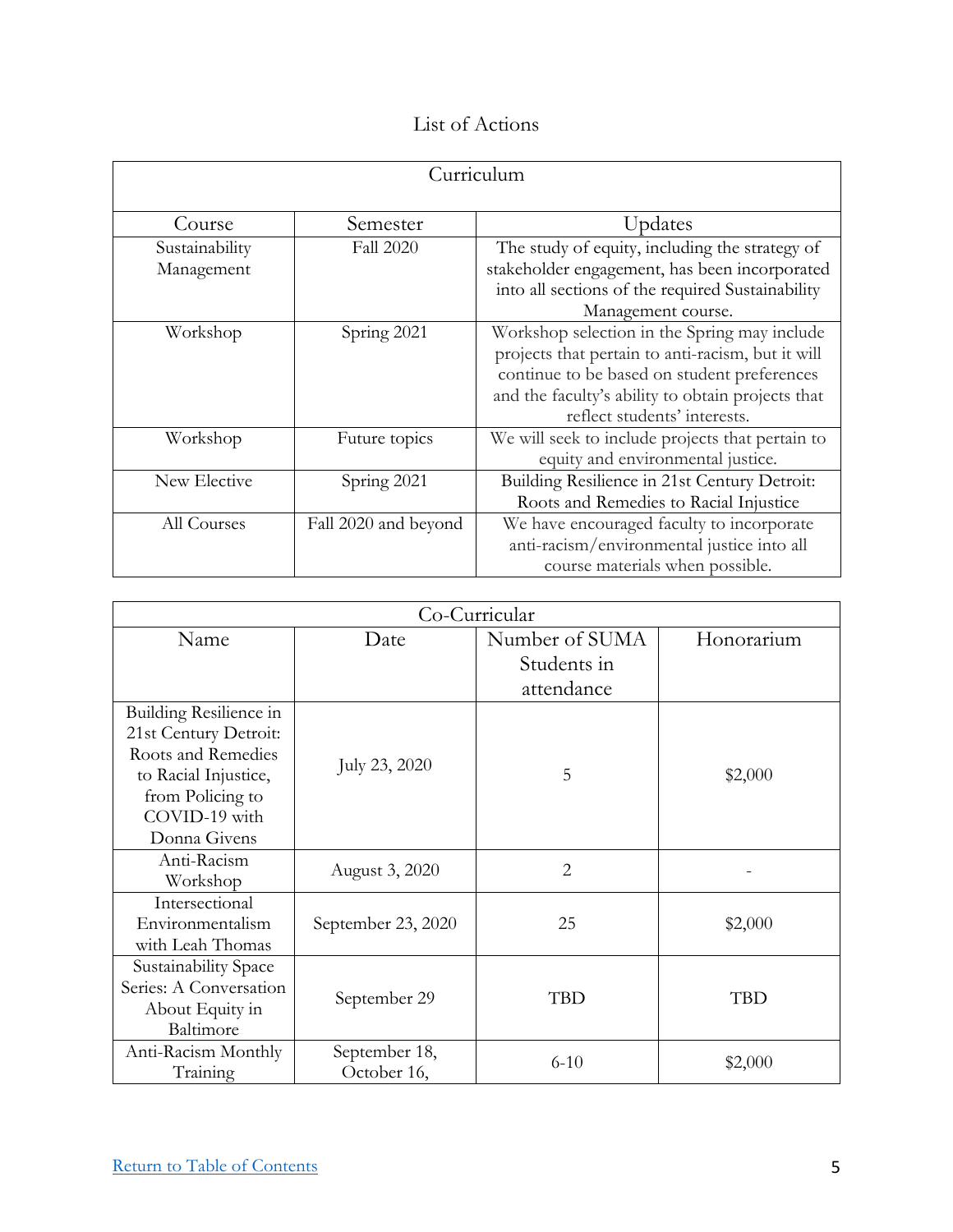# List of Actions

| Curriculum     |                      |                                                   |  |
|----------------|----------------------|---------------------------------------------------|--|
| Course         | Semester             | Updates                                           |  |
| Sustainability | <b>Fall 2020</b>     | The study of equity, including the strategy of    |  |
| Management     |                      | stakeholder engagement, has been incorporated     |  |
|                |                      | into all sections of the required Sustainability  |  |
|                |                      | Management course.                                |  |
| Workshop       | Spring 2021          | Workshop selection in the Spring may include      |  |
|                |                      | projects that pertain to anti-racism, but it will |  |
|                |                      | continue to be based on student preferences       |  |
|                |                      | and the faculty's ability to obtain projects that |  |
|                |                      | reflect students' interests.                      |  |
| Workshop       | Future topics        | We will seek to include projects that pertain to  |  |
|                |                      | equity and environmental justice.                 |  |
| New Elective   | Spring 2021          | Building Resilience in 21st Century Detroit:      |  |
|                |                      | Roots and Remedies to Racial Injustice            |  |
| All Courses    | Fall 2020 and beyond | We have encouraged faculty to incorporate         |  |
|                |                      | anti-racism/environmental justice into all        |  |
|                |                      | course materials when possible.                   |  |

| Co-Curricular          |                    |                |            |
|------------------------|--------------------|----------------|------------|
| Name                   | Date               | Number of SUMA | Honorarium |
|                        |                    | Students in    |            |
|                        |                    | attendance     |            |
| Building Resilience in |                    |                |            |
| 21st Century Detroit:  |                    |                |            |
| Roots and Remedies     | July 23, 2020      |                |            |
| to Racial Injustice,   |                    | 5              | \$2,000    |
| from Policing to       |                    |                |            |
| COVID-19 with          |                    |                |            |
| Donna Givens           |                    |                |            |
| Anti-Racism            | August 3, 2020     | $\overline{2}$ |            |
| Workshop               |                    |                |            |
| Intersectional         |                    |                |            |
| Environmentalism       | September 23, 2020 | 25             | \$2,000    |
| with Leah Thomas       |                    |                |            |
| Sustainability Space   |                    |                |            |
| Series: A Conversation | September 29       | <b>TBD</b>     | <b>TBD</b> |
| About Equity in        |                    |                |            |
| Baltimore              |                    |                |            |
| Anti-Racism Monthly    | September 18,      | $6 - 10$       | \$2,000    |
| Training               | October 16,        |                |            |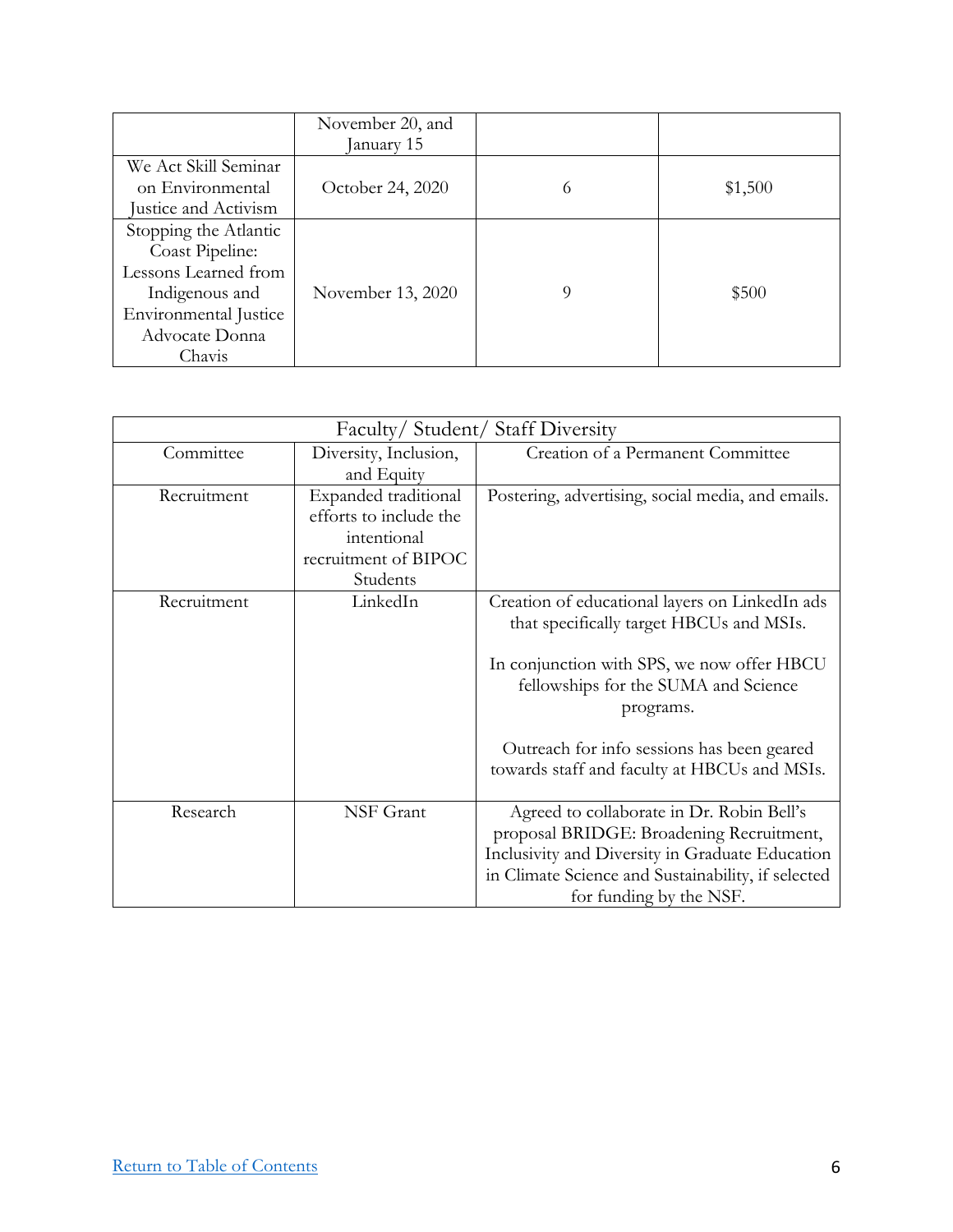|                                                                                                                                         | November 20, and<br>January 15 |   |         |
|-----------------------------------------------------------------------------------------------------------------------------------------|--------------------------------|---|---------|
| We Act Skill Seminar<br>on Environmental<br>Justice and Activism                                                                        | October 24, 2020               | 6 | \$1,500 |
| Stopping the Atlantic<br>Coast Pipeline:<br>Lessons Learned from<br>Indigenous and<br>Environmental Justice<br>Advocate Donna<br>Chavis | November 13, 2020              | 9 | \$500   |

| Faculty/Student/Staff Diversity |                                                                                                   |                                                                                                                                                                                                                                                                                             |
|---------------------------------|---------------------------------------------------------------------------------------------------|---------------------------------------------------------------------------------------------------------------------------------------------------------------------------------------------------------------------------------------------------------------------------------------------|
| Committee                       | Diversity, Inclusion,<br>and Equity                                                               | Creation of a Permanent Committee                                                                                                                                                                                                                                                           |
| Recruitment                     | Expanded traditional<br>efforts to include the<br>intentional<br>recruitment of BIPOC<br>Students | Postering, advertising, social media, and emails.                                                                                                                                                                                                                                           |
| Recruitment                     | LinkedIn                                                                                          | Creation of educational layers on LinkedIn ads<br>that specifically target HBCUs and MSIs.<br>In conjunction with SPS, we now offer HBCU<br>fellowships for the SUMA and Science<br>programs.<br>Outreach for info sessions has been geared<br>towards staff and faculty at HBCUs and MSIs. |
| Research                        | NSF Grant                                                                                         | Agreed to collaborate in Dr. Robin Bell's<br>proposal BRIDGE: Broadening Recruitment,<br>Inclusivity and Diversity in Graduate Education<br>in Climate Science and Sustainability, if selected<br>for funding by the NSF.                                                                   |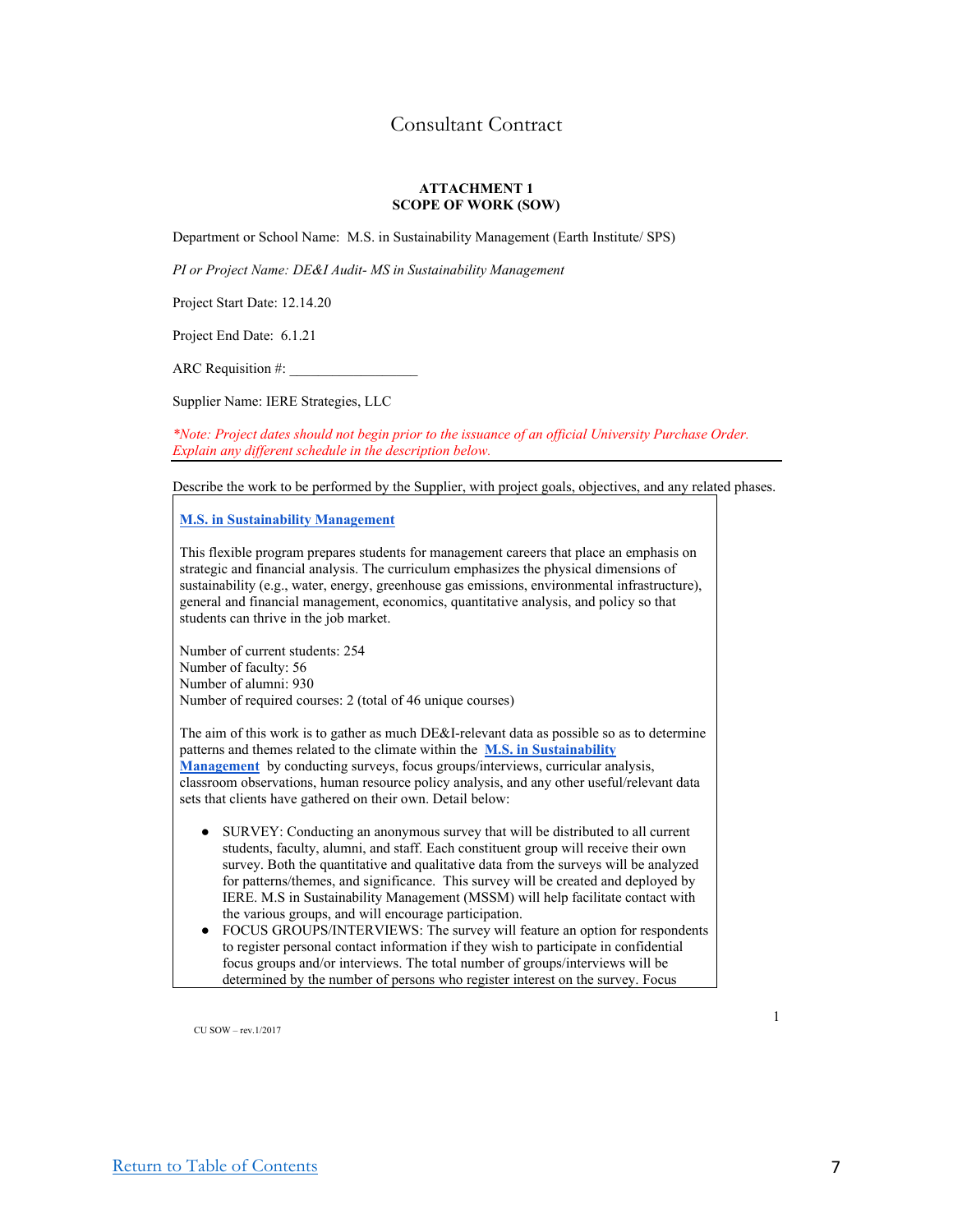## Consultant Contract

#### **ATTACHMENT 1 SCOPE OF WORK (SOW)**

Department or School Name: M.S. in Sustainability Management (Earth Institute/ SPS)

*PI or Project Name: DE&I Audit- MS in Sustainability Management* 

Project Start Date: 12.14.20

Project End Date: 6.1.21

ARC Requisition  $#$ :

Supplier Name: IERE Strategies, LLC

*\*Note: Project dates should not begin prior to the issuance of an official University Purchase Order. Explain any different schedule in the description below.*

Describe the work to be performed by the Supplier, with project goals, objectives, and any related phases.

**M.S. in Sustainability Management**

This flexible program prepares students for management careers that place an emphasis on strategic and financial analysis. The curriculum emphasizes the physical dimensions of sustainability (e.g., water, energy, greenhouse gas emissions, environmental infrastructure), general and financial management, economics, quantitative analysis, and policy so that students can thrive in the job market.

Number of current students: 254 Number of faculty: 56 Number of alumni: 930 Number of required courses: 2 (total of 46 unique courses)

The aim of this work is to gather as much DE&I-relevant data as possible so as to determine patterns and themes related to the climate within the **M.S. in Sustainability Management** by conducting surveys, focus groups/interviews, curricular analysis, classroom observations, human resource policy analysis, and any other useful/relevant data sets that clients have gathered on their own. Detail below:

- SURVEY: Conducting an anonymous survey that will be distributed to all current students, faculty, alumni, and staff. Each constituent group will receive their own survey. Both the quantitative and qualitative data from the surveys will be analyzed for patterns/themes, and significance. This survey will be created and deployed by IERE. M.S in Sustainability Management (MSSM) will help facilitate contact with the various groups, and will encourage participation.
- FOCUS GROUPS/INTERVIEWS: The survey will feature an option for respondents to register personal contact information if they wish to participate in confidential focus groups and/or interviews. The total number of groups/interviews will be determined by the number of persons who register interest on the survey. Focus

CU SOW – rev.1/2017

1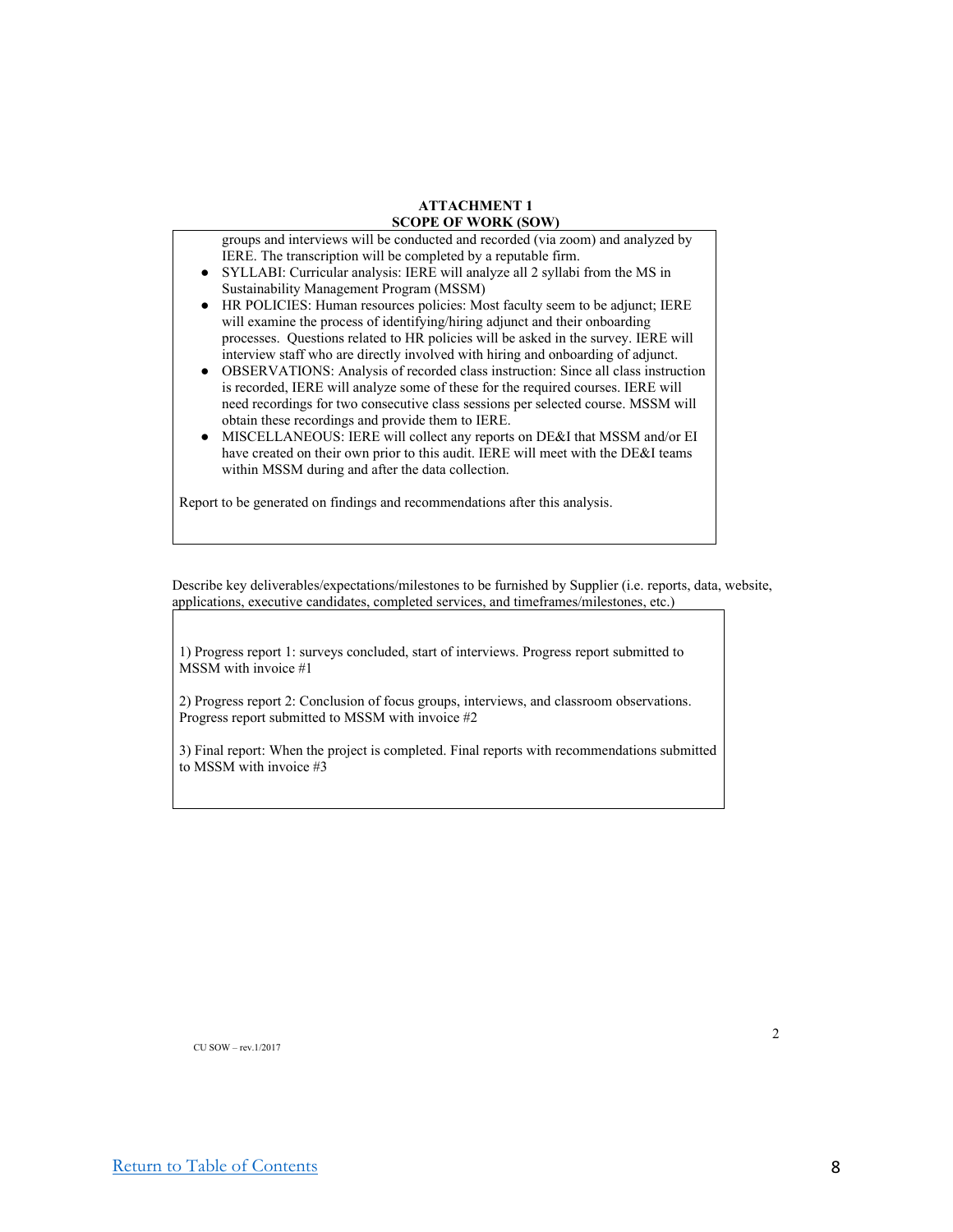groups and interviews will be conducted and recorded (via zoom) and analyzed by IERE. The transcription will be completed by a reputable firm.

- SYLLABI: Curricular analysis: IERE will analyze all 2 syllabi from the MS in Sustainability Management Program (MSSM)
- HR POLICIES: Human resources policies: Most faculty seem to be adjunct; IERE will examine the process of identifying/hiring adjunct and their onboarding processes. Questions related to HR policies will be asked in the survey. IERE will interview staff who are directly involved with hiring and onboarding of adjunct.
- OBSERVATIONS: Analysis of recorded class instruction: Since all class instruction is recorded, IERE will analyze some of these for the required courses. IERE will need recordings for two consecutive class sessions per selected course. MSSM will obtain these recordings and provide them to IERE.
- MISCELLANEOUS: IERE will collect any reports on DE&I that MSSM and/or EI have created on their own prior to this audit. IERE will meet with the DE&I teams within MSSM during and after the data collection.

Report to be generated on findings and recommendations after this analysis.

Describe key deliverables/expectations/milestones to be furnished by Supplier (i.e. reports, data, website, applications, executive candidates, completed services, and timeframes/milestones, etc.)

1) Progress report 1: surveys concluded, start of interviews. Progress report submitted to MSSM with invoice #1

2) Progress report 2: Conclusion of focus groups, interviews, and classroom observations. Progress report submitted to MSSM with invoice #2

3) Final report: When the project is completed. Final reports with recommendations submitted to MSSM with invoice #3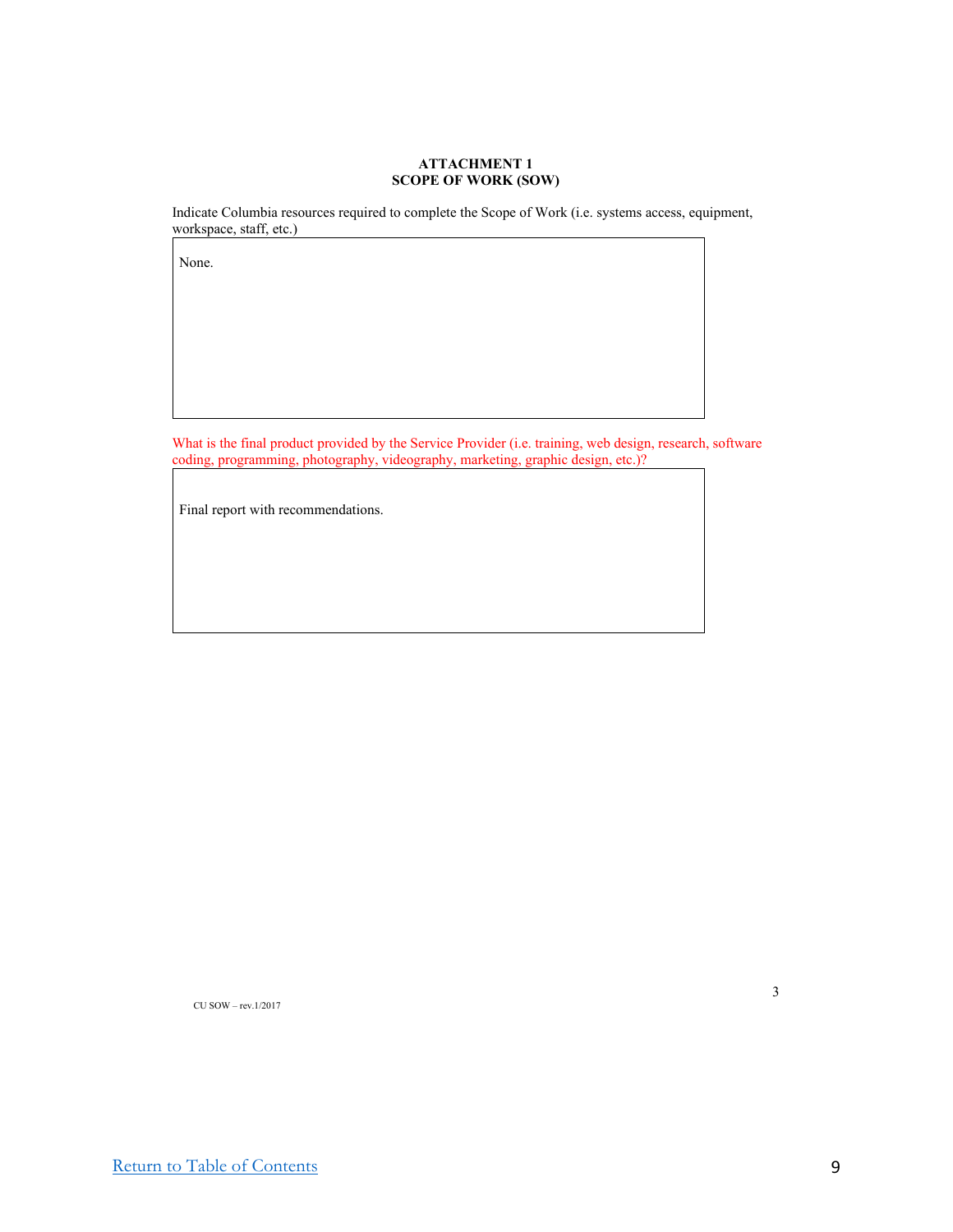Indicate Columbia resources required to complete the Scope of Work (i.e. systems access, equipment, workspace, staff, etc.)

None.

What is the final product provided by the Service Provider (i.e. training, web design, research, software coding, programming, photography, videography, marketing, graphic design, etc.)?

Final report with recommendations.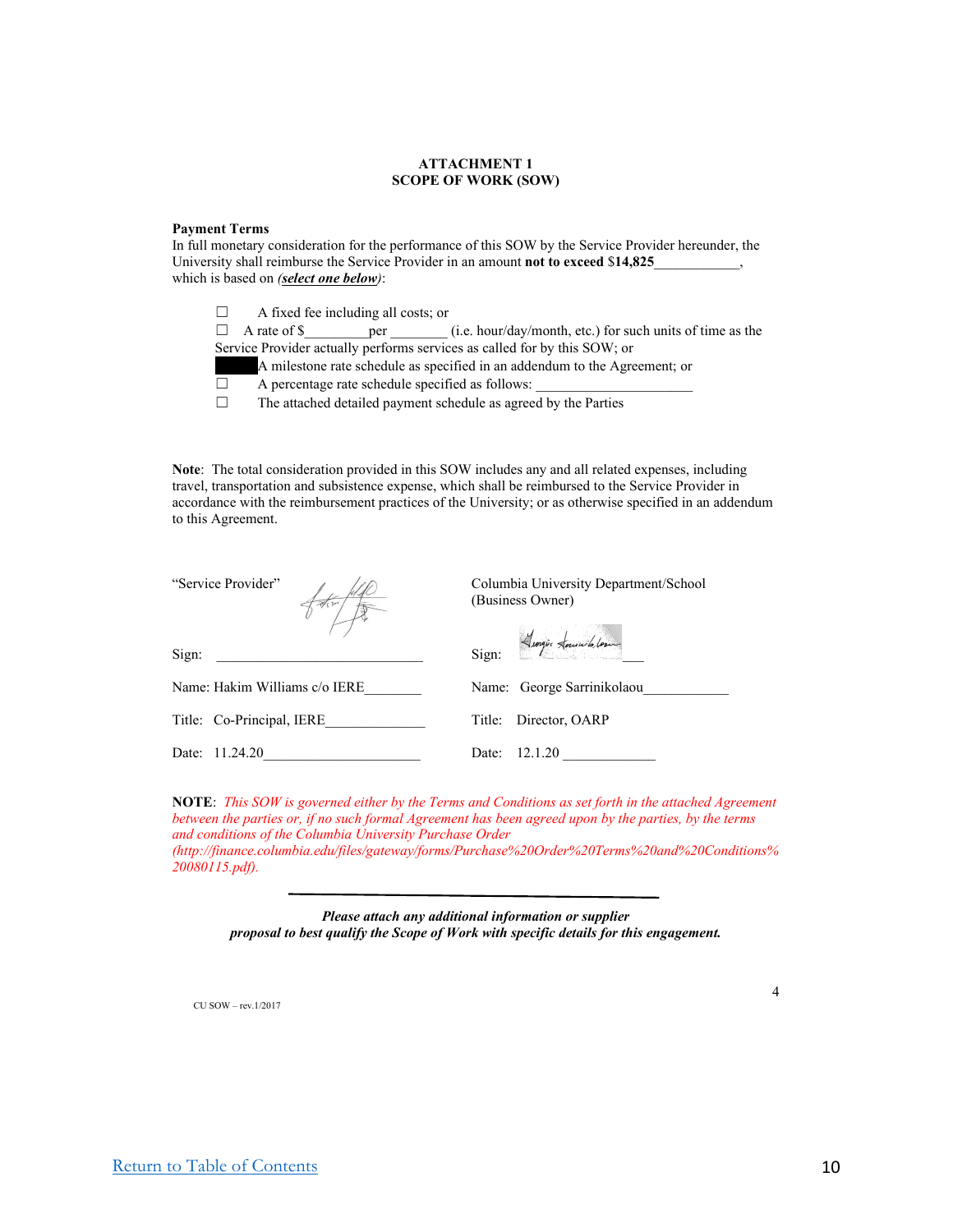#### **Payment Terms**

In full monetary consideration for the performance of this SOW by the Service Provider hereunder, the University shall reimburse the Service Provider in an amount **not to exceed** \$**14,825**\_\_\_\_\_\_\_\_\_\_\_\_, which is based on *(select one below)*:

 $\Box$  A fixed fee including all costs; or □ A rate of \$\_\_\_\_\_\_\_\_\_per \_\_\_\_\_\_\_\_ (i.e. hour/day/month, etc.) for such units of time as the Service Provider actually performs services as called for by this SOW; or A milestone rate schedule as specified in an addendum to the Agreement; or  $\Box$  A percentage rate schedule specified as follows:  $\Box$  The attached detailed payment schedule as agreed by the Parties

**Note**: The total consideration provided in this SOW includes any and all related expenses, including travel, transportation and subsistence expense, which shall be reimbursed to the Service Provider in accordance with the reimbursement practices of the University; or as otherwise specified in an addendum to this Agreement.

| "Service Provider"            | Columbia University Department/School<br>(Business Owner) |  |
|-------------------------------|-----------------------------------------------------------|--|
| Sign:                         | Sign: <i>Lungis Louisib, Low</i>                          |  |
| Name: Hakim Williams c/o IERE | Name: George Sarrinikolaou                                |  |
| Title: Co-Principal, IERE     | Director, OARP<br>Title:                                  |  |
| Date: 11.24.20                | 12.1.20<br>Date:                                          |  |

**NOTE**: *This SOW is governed either by the Terms and Conditions as set forth in the attached Agreement between the parties or, if no such formal Agreement has been agreed upon by the parties, by the terms and conditions of the Columbia University Purchase Order (http://finance.columbia.edu/files/gateway/forms/Purchase%20Order%20Terms%20and%20Conditions%*

*20080115.pdf).*

*Please attach any additional information or supplier proposal to best qualify the Scope of Work with specific details for this engagement.*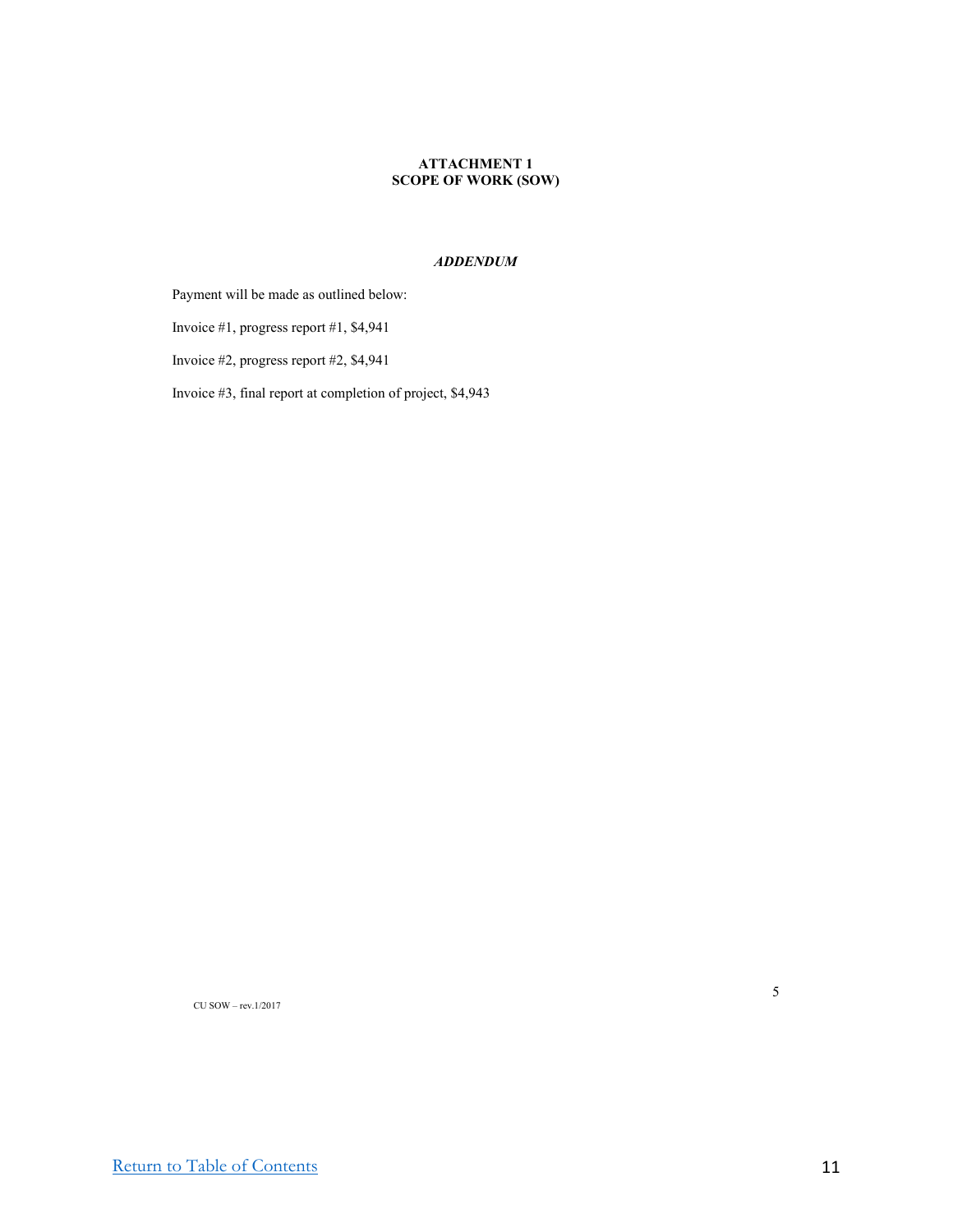#### *ADDENDUM*

Payment will be made as outlined below:

Invoice #1, progress report #1, \$4,941

Invoice #2, progress report #2, \$4,941

Invoice #3, final report at completion of project, \$4,943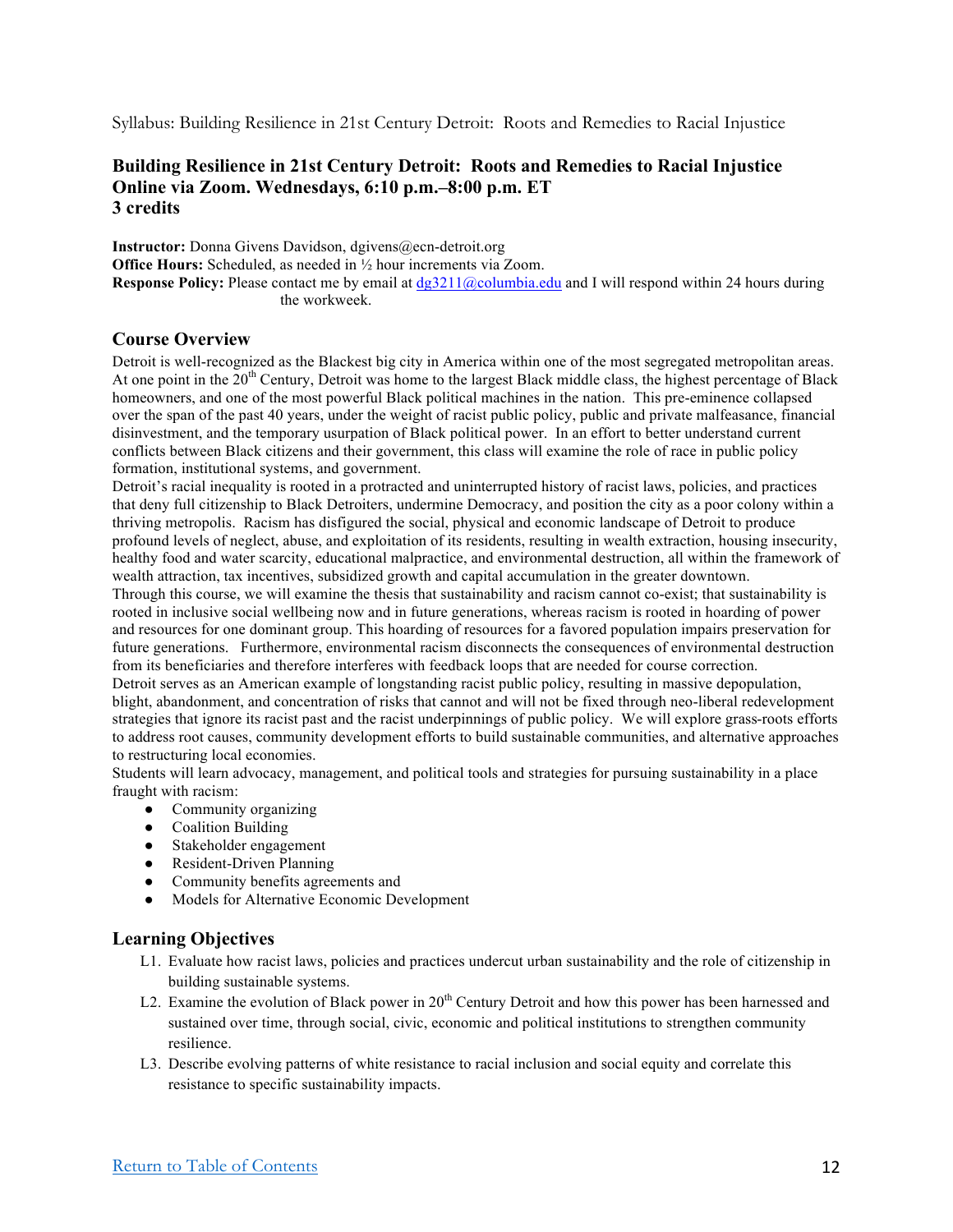Syllabus: Building Resilience in 21st Century Detroit: Roots and Remedies to Racial Injustice

## **Building Resilience in 21st Century Detroit: Roots and Remedies to Racial Injustice Online via Zoom. Wednesdays, 6:10 p.m.–8:00 p.m. ET 3 credits**

**Instructor:** Donna Givens Davidson, dgivens@ecn-detroit.org **Office Hours:** Scheduled, as needed in  $\frac{1}{2}$  hour increments via Zoom. **Response Policy:** Please contact me by email at dg3211@columbia.edu and I will respond within 24 hours during the workweek.

## **Course Overview**

Detroit is well-recognized as the Blackest big city in America within one of the most segregated metropolitan areas. At one point in the  $20<sup>th</sup>$  Century, Detroit was home to the largest Black middle class, the highest percentage of Black homeowners, and one of the most powerful Black political machines in the nation. This pre-eminence collapsed over the span of the past 40 years, under the weight of racist public policy, public and private malfeasance, financial disinvestment, and the temporary usurpation of Black political power. In an effort to better understand current conflicts between Black citizens and their government, this class will examine the role of race in public policy formation, institutional systems, and government.

Detroit's racial inequality is rooted in a protracted and uninterrupted history of racist laws, policies, and practices that deny full citizenship to Black Detroiters, undermine Democracy, and position the city as a poor colony within a thriving metropolis. Racism has disfigured the social, physical and economic landscape of Detroit to produce profound levels of neglect, abuse, and exploitation of its residents, resulting in wealth extraction, housing insecurity, healthy food and water scarcity, educational malpractice, and environmental destruction, all within the framework of wealth attraction, tax incentives, subsidized growth and capital accumulation in the greater downtown.

Through this course, we will examine the thesis that sustainability and racism cannot co-exist; that sustainability is rooted in inclusive social wellbeing now and in future generations, whereas racism is rooted in hoarding of power and resources for one dominant group. This hoarding of resources for a favored population impairs preservation for future generations. Furthermore, environmental racism disconnects the consequences of environmental destruction from its beneficiaries and therefore interferes with feedback loops that are needed for course correction. Detroit serves as an American example of longstanding racist public policy, resulting in massive depopulation,

blight, abandonment, and concentration of risks that cannot and will not be fixed through neo-liberal redevelopment strategies that ignore its racist past and the racist underpinnings of public policy. We will explore grass-roots efforts to address root causes, community development efforts to build sustainable communities, and alternative approaches to restructuring local economies.

Students will learn advocacy, management, and political tools and strategies for pursuing sustainability in a place fraught with racism:

- Community organizing
- Coalition Building
- Stakeholder engagement
- Resident-Driven Planning
- Community benefits agreements and
- Models for Alternative Economic Development

#### **Learning Objectives**

- L1. Evaluate how racist laws, policies and practices undercut urban sustainability and the role of citizenship in building sustainable systems.
- L2. Examine the evolution of Black power in 20<sup>th</sup> Century Detroit and how this power has been harnessed and sustained over time, through social, civic, economic and political institutions to strengthen community resilience.
- L3. Describe evolving patterns of white resistance to racial inclusion and social equity and correlate this resistance to specific sustainability impacts.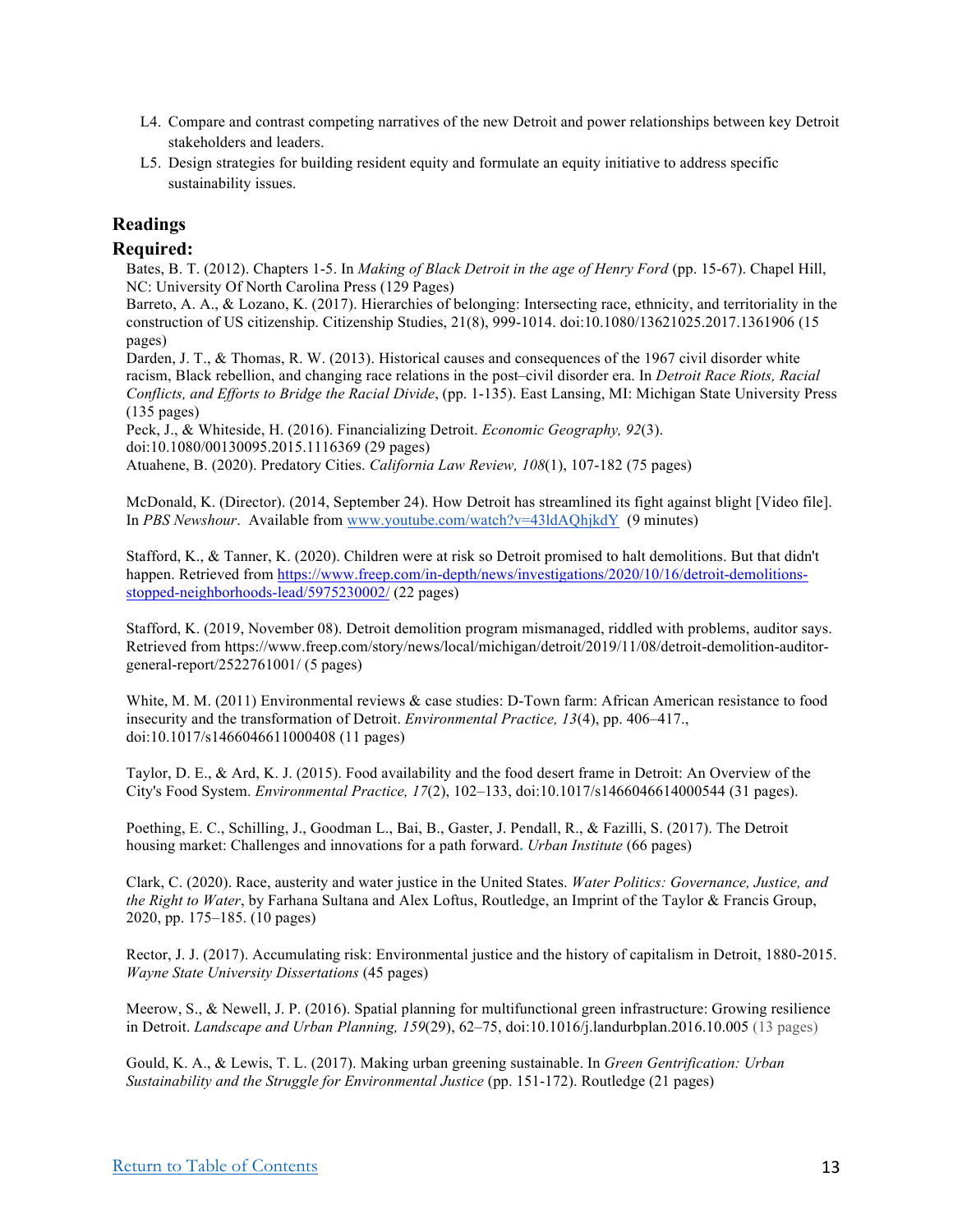- L4. Compare and contrast competing narratives of the new Detroit and power relationships between key Detroit stakeholders and leaders.
- L5. Design strategies for building resident equity and formulate an equity initiative to address specific sustainability issues.

## **Readings**

### **Required:**

Bates, B. T. (2012). Chapters 1-5. In *Making of Black Detroit in the age of Henry Ford* (pp. 15-67). Chapel Hill, NC: University Of North Carolina Press (129 Pages)

Barreto, A. A., & Lozano, K. (2017). Hierarchies of belonging: Intersecting race, ethnicity, and territoriality in the construction of US citizenship. Citizenship Studies, 21(8), 999-1014. doi:10.1080/13621025.2017.1361906 (15 pages)

Darden, J. T., & Thomas, R. W. (2013). Historical causes and consequences of the 1967 civil disorder white racism, Black rebellion, and changing race relations in the post–civil disorder era. In *Detroit Race Riots, Racial Conflicts, and Efforts to Bridge the Racial Divide*, (pp. 1-135). East Lansing, MI: Michigan State University Press (135 pages)

Peck, J., & Whiteside, H. (2016). Financializing Detroit. *Economic Geography, 92*(3). doi:10.1080/00130095.2015.1116369 (29 pages)

Atuahene, B. (2020). Predatory Cities. *California Law Review, 108*(1), 107-182 (75 pages)

McDonald, K. (Director). (2014, September 24). How Detroit has streamlined its fight against blight [Video file]. In *PBS Newshour*. Available from www.youtube.com/watch?v=43ldAQhjkdY (9 minutes)

Stafford, K., & Tanner, K. (2020). Children were at risk so Detroit promised to halt demolitions. But that didn't happen. Retrieved from https://www.freep.com/in-depth/news/investigations/2020/10/16/detroit-demolitionsstopped-neighborhoods-lead/5975230002/ (22 pages)

Stafford, K. (2019, November 08). Detroit demolition program mismanaged, riddled with problems, auditor says. Retrieved from https://www.freep.com/story/news/local/michigan/detroit/2019/11/08/detroit-demolition-auditorgeneral-report/2522761001/ (5 pages)

White, M. M. (2011) Environmental reviews & case studies: D-Town farm: African American resistance to food insecurity and the transformation of Detroit. *Environmental Practice, 13*(4), pp. 406–417., doi:10.1017/s1466046611000408 (11 pages)

Taylor, D. E., & Ard, K. J. (2015). Food availability and the food desert frame in Detroit: An Overview of the City's Food System. *Environmental Practice, 17*(2), 102–133, doi:10.1017/s1466046614000544 (31 pages).

Poething, E. C., Schilling, J., Goodman L., Bai, B., Gaster, J. Pendall, R., & Fazilli, S. (2017). The Detroit housing market: Challenges and innovations for a path forward**.** *Urban Institute* (66 pages)

Clark, C. (2020). Race, austerity and water justice in the United States. *Water Politics: Governance, Justice, and the Right to Water*, by Farhana Sultana and Alex Loftus, Routledge, an Imprint of the Taylor & Francis Group, 2020, pp. 175–185. (10 pages)

Rector, J. J. (2017). Accumulating risk: Environmental justice and the history of capitalism in Detroit, 1880-2015. *Wayne State University Dissertations* (45 pages)

Meerow, S., & Newell, J. P. (2016). Spatial planning for multifunctional green infrastructure: Growing resilience in Detroit. *Landscape and Urban Planning, 159*(29), 62–75, doi:10.1016/j.landurbplan.2016.10.005 (13 pages)

Gould, K. A., & Lewis, T. L. (2017). Making urban greening sustainable. In *Green Gentrification: Urban Sustainability and the Struggle for Environmental Justice* (pp. 151-172). Routledge (21 pages)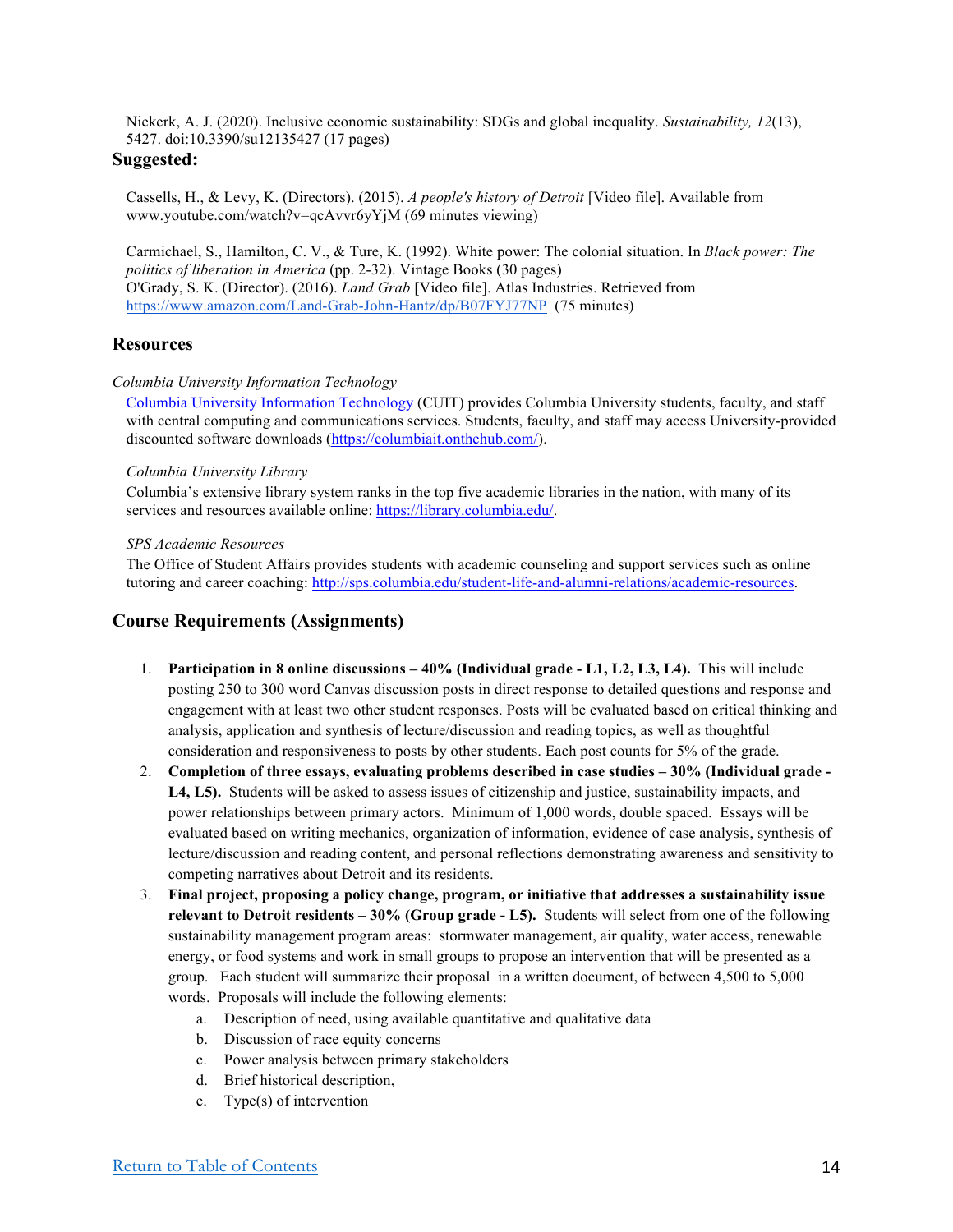Niekerk, A. J. (2020). Inclusive economic sustainability: SDGs and global inequality. *Sustainability, 12*(13), 5427. doi:10.3390/su12135427 (17 pages)

#### **Suggested:**

Cassells, H., & Levy, K. (Directors). (2015). *A people's history of Detroit* [Video file]. Available from www.youtube.com/watch?v=qcAvvr6yYjM (69 minutes viewing)

Carmichael, S., Hamilton, C. V., & Ture, K. (1992). White power: The colonial situation. In *Black power: The politics of liberation in America* (pp. 2-32). Vintage Books (30 pages) O'Grady, S. K. (Director). (2016). *Land Grab* [Video file]. Atlas Industries. Retrieved from https://www.amazon.com/Land-Grab-John-Hantz/dp/B07FYJ77NP (75 minutes)

## **Resources**

#### *Columbia University Information Technology*

Columbia University Information Technology (CUIT) provides Columbia University students, faculty, and staff with central computing and communications services. Students, faculty, and staff may access University-provided discounted software downloads (https://columbiait.onthehub.com/).

#### *Columbia University Library*

Columbia's extensive library system ranks in the top five academic libraries in the nation, with many of its services and resources available online: https://library.columbia.edu/.

#### *SPS Academic Resources*

The Office of Student Affairs provides students with academic counseling and support services such as online tutoring and career coaching: http://sps.columbia.edu/student-life-and-alumni-relations/academic-resources.

## **Course Requirements (Assignments)**

- 1. **Participation in 8 online discussions – 40% (Individual grade - L1, L2, L3, L4).** This will include posting 250 to 300 word Canvas discussion posts in direct response to detailed questions and response and engagement with at least two other student responses. Posts will be evaluated based on critical thinking and analysis, application and synthesis of lecture/discussion and reading topics, as well as thoughtful consideration and responsiveness to posts by other students. Each post counts for 5% of the grade.
- 2. **Completion of three essays, evaluating problems described in case studies – 30% (Individual grade - L4, L5).** Students will be asked to assess issues of citizenship and justice, sustainability impacts, and power relationships between primary actors. Minimum of 1,000 words, double spaced. Essays will be evaluated based on writing mechanics, organization of information, evidence of case analysis, synthesis of lecture/discussion and reading content, and personal reflections demonstrating awareness and sensitivity to competing narratives about Detroit and its residents.
- 3. **Final project, proposing a policy change, program, or initiative that addresses a sustainability issue relevant to Detroit residents – 30% (Group grade - L5).** Students will select from one of the following sustainability management program areas: stormwater management, air quality, water access, renewable energy, or food systems and work in small groups to propose an intervention that will be presented as a group. Each student will summarize their proposal in a written document, of between 4,500 to 5,000 words. Proposals will include the following elements:
	- a. Description of need, using available quantitative and qualitative data
	- b. Discussion of race equity concerns
	- c. Power analysis between primary stakeholders
	- d. Brief historical description,
	- e. Type(s) of intervention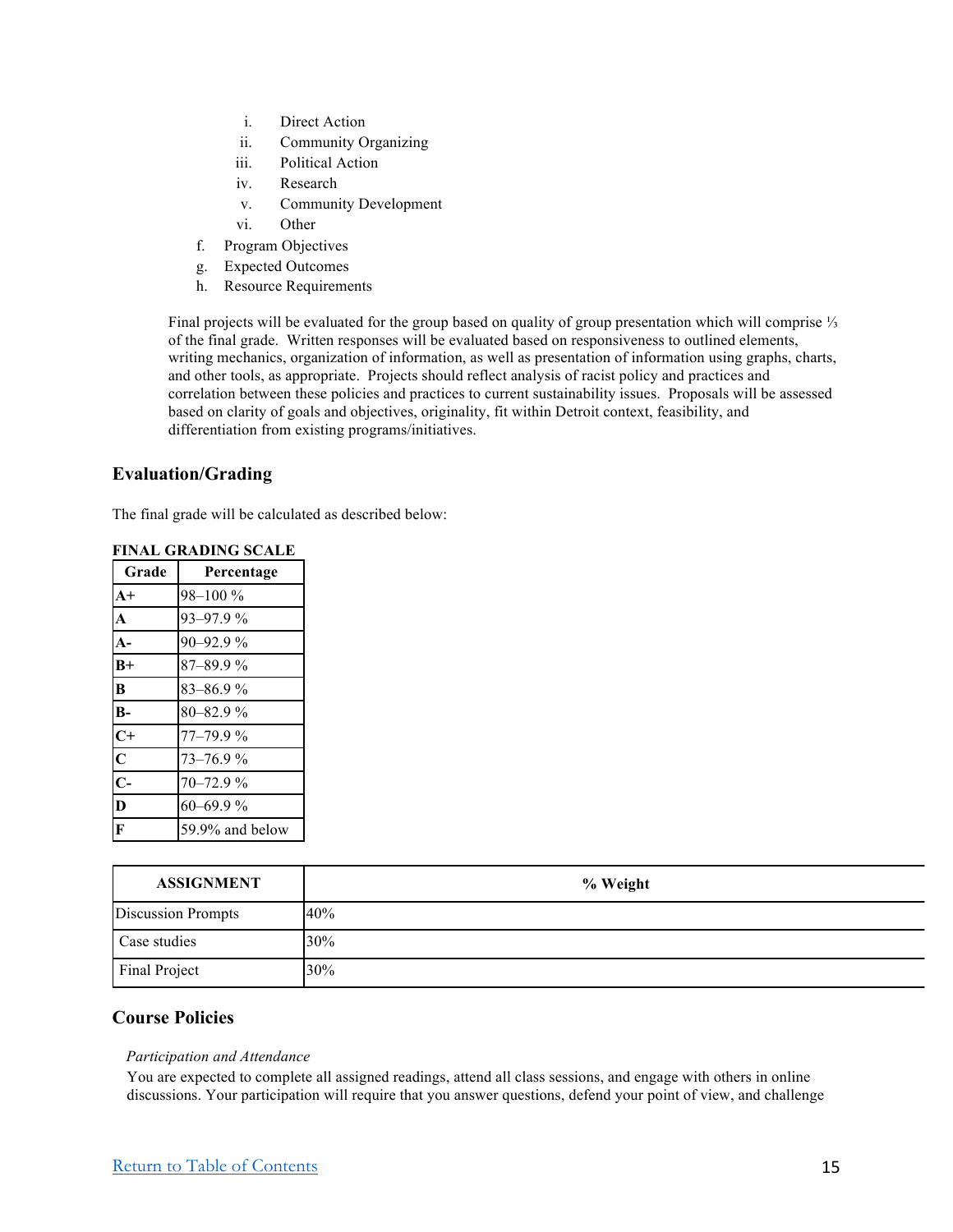- i. Direct Action
- ii. Community Organizing
- iii. Political Action
- iv. Research
- v. Community Development
- vi. Other
- f. Program Objectives
- g. Expected Outcomes
- h. Resource Requirements

Final projects will be evaluated for the group based on quality of group presentation which will comprise ⅓ of the final grade. Written responses will be evaluated based on responsiveness to outlined elements, writing mechanics, organization of information, as well as presentation of information using graphs, charts, and other tools, as appropriate. Projects should reflect analysis of racist policy and practices and correlation between these policies and practices to current sustainability issues. Proposals will be assessed based on clarity of goals and objectives, originality, fit within Detroit context, feasibility, and differentiation from existing programs/initiatives.

## **Evaluation/Grading**

The final grade will be calculated as described below:

| Grade                   | Percentage      |
|-------------------------|-----------------|
| $A+$                    | 98-100 %        |
| $\mathbf A$             | 93-97.9%        |
| $\mathbf{A}$ -          | 90-92.9%        |
| $B+$                    | $87 - 89.9%$    |
| B                       | $83 - 86.9%$    |
| $B -$                   | 80-82.9%        |
| $C+$                    | $77 - 79.9%$    |
| $\overline{\mathbf{C}}$ | 73-76.9%        |
| $\overline{C}$ -        | $70 - 72.9%$    |
| $\overline{\mathbf{D}}$ | 60-69.9%        |
| $\overline{\mathbf{F}}$ | 59.9% and below |

| <b>FINAL GRADING SCALE</b> |            |
|----------------------------|------------|
| Grade                      | Percentage |
|                            |            |

| <b>ASSIGNMENT</b>         | % Weight |
|---------------------------|----------|
| <b>Discussion Prompts</b> | 40%      |
| Case studies              | 30%      |
| Final Project             | 30%      |

## **Course Policies**

#### *Participation and Attendance*

You are expected to complete all assigned readings, attend all class sessions, and engage with others in online discussions. Your participation will require that you answer questions, defend your point of view, and challenge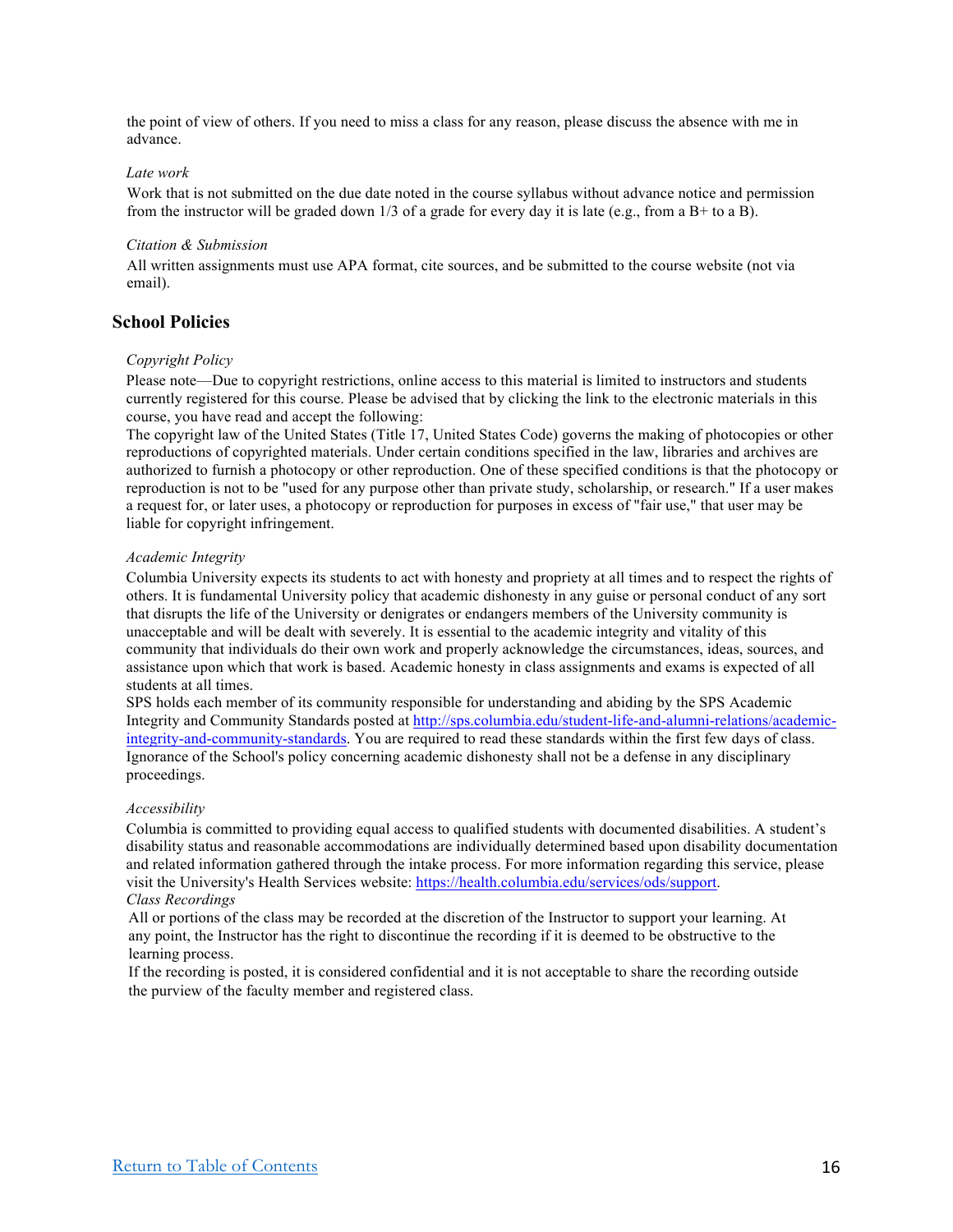the point of view of others. If you need to miss a class for any reason, please discuss the absence with me in advance.

#### *Late work*

Work that is not submitted on the due date noted in the course syllabus without advance notice and permission from the instructor will be graded down  $1/3$  of a grade for every day it is late (e.g., from a B+ to a B).

#### *Citation & Submission*

All written assignments must use APA format, cite sources, and be submitted to the course website (not via email).

## **School Policies**

#### *Copyright Policy*

Please note—Due to copyright restrictions, online access to this material is limited to instructors and students currently registered for this course. Please be advised that by clicking the link to the electronic materials in this course, you have read and accept the following:

The copyright law of the United States (Title 17, United States Code) governs the making of photocopies or other reproductions of copyrighted materials. Under certain conditions specified in the law, libraries and archives are authorized to furnish a photocopy or other reproduction. One of these specified conditions is that the photocopy or reproduction is not to be "used for any purpose other than private study, scholarship, or research." If a user makes a request for, or later uses, a photocopy or reproduction for purposes in excess of "fair use," that user may be liable for copyright infringement.

#### *Academic Integrity*

Columbia University expects its students to act with honesty and propriety at all times and to respect the rights of others. It is fundamental University policy that academic dishonesty in any guise or personal conduct of any sort that disrupts the life of the University or denigrates or endangers members of the University community is unacceptable and will be dealt with severely. It is essential to the academic integrity and vitality of this community that individuals do their own work and properly acknowledge the circumstances, ideas, sources, and assistance upon which that work is based. Academic honesty in class assignments and exams is expected of all students at all times.

SPS holds each member of its community responsible for understanding and abiding by the SPS Academic Integrity and Community Standards posted at http://sps.columbia.edu/student-life-and-alumni-relations/academicintegrity-and-community-standards. You are required to read these standards within the first few days of class. Ignorance of the School's policy concerning academic dishonesty shall not be a defense in any disciplinary proceedings.

#### *Accessibility*

Columbia is committed to providing equal access to qualified students with documented disabilities. A student's disability status and reasonable accommodations are individually determined based upon disability documentation and related information gathered through the intake process. For more information regarding this service, please visit the University's Health Services website: https://health.columbia.edu/services/ods/support. *Class Recordings*

All or portions of the class may be recorded at the discretion of the Instructor to support your learning. At any point, the Instructor has the right to discontinue the recording if it is deemed to be obstructive to the learning process.

If the recording is posted, it is considered confidential and it is not acceptable to share the recording outside the purview of the faculty member and registered class.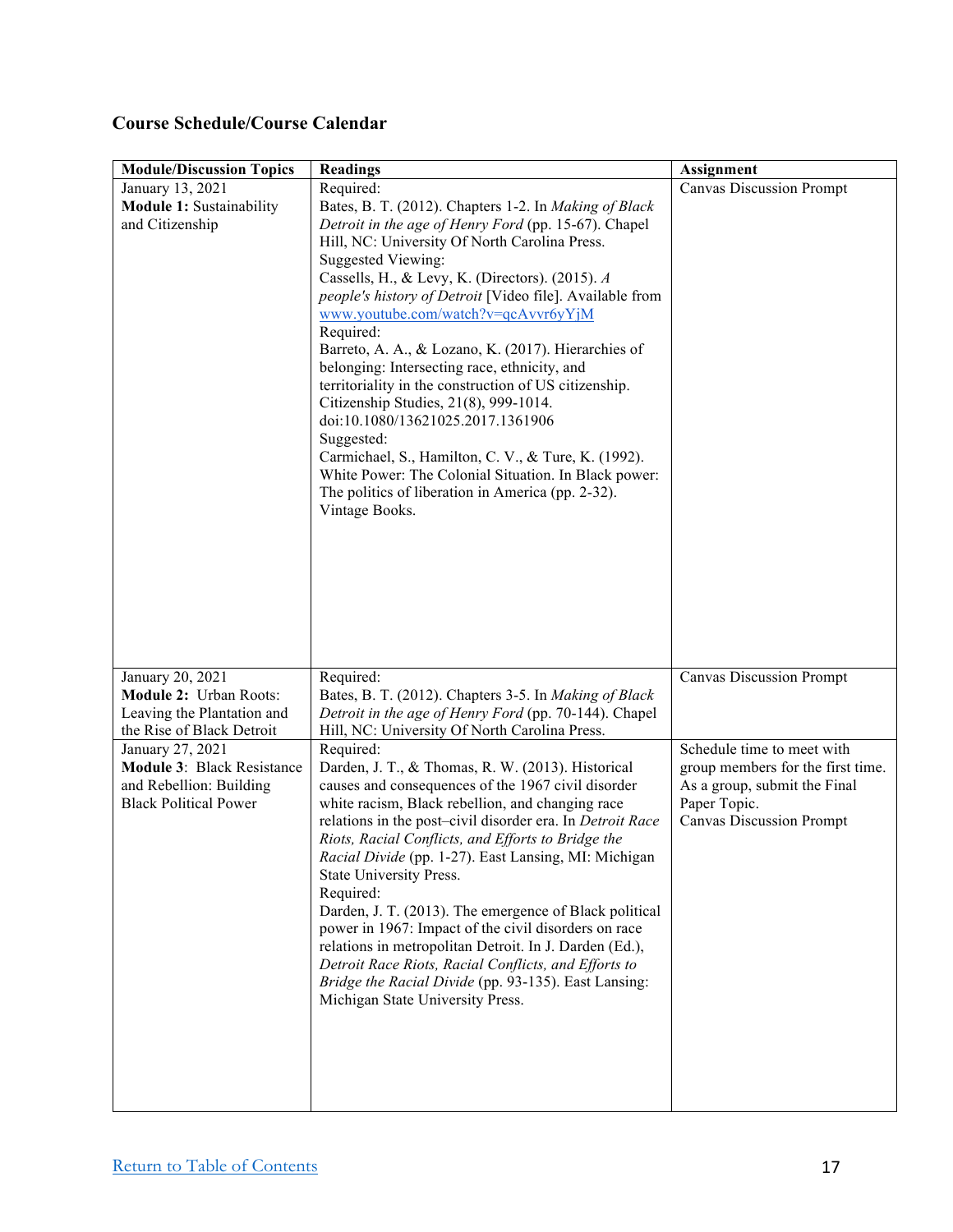## **Course Schedule/Course Calendar**

| <b>Module/Discussion Topics</b>                                                                                  | <b>Readings</b>                                                                                                                                                                                                                                                                                                                                                                                                                                                                                                                                                                                                                                                                                                                                                                                                               | Assignment                                                                                                                                         |
|------------------------------------------------------------------------------------------------------------------|-------------------------------------------------------------------------------------------------------------------------------------------------------------------------------------------------------------------------------------------------------------------------------------------------------------------------------------------------------------------------------------------------------------------------------------------------------------------------------------------------------------------------------------------------------------------------------------------------------------------------------------------------------------------------------------------------------------------------------------------------------------------------------------------------------------------------------|----------------------------------------------------------------------------------------------------------------------------------------------------|
| January 13, 2021<br><b>Module 1: Sustainability</b><br>and Citizenship                                           | Required:<br>Bates, B. T. (2012). Chapters 1-2. In Making of Black<br>Detroit in the age of Henry Ford (pp. 15-67). Chapel<br>Hill, NC: University Of North Carolina Press.<br><b>Suggested Viewing:</b><br>Cassells, H., & Levy, K. (Directors). (2015). A<br>people's history of Detroit [Video file]. Available from<br>www.youtube.com/watch?v=qcAvvr6yYjM<br>Required:<br>Barreto, A. A., & Lozano, K. (2017). Hierarchies of<br>belonging: Intersecting race, ethnicity, and<br>territoriality in the construction of US citizenship.<br>Citizenship Studies, 21(8), 999-1014.<br>doi:10.1080/13621025.2017.1361906<br>Suggested:<br>Carmichael, S., Hamilton, C. V., & Ture, K. (1992).<br>White Power: The Colonial Situation. In Black power:<br>The politics of liberation in America (pp. 2-32).<br>Vintage Books. | <b>Canvas Discussion Prompt</b>                                                                                                                    |
| January 20, 2021<br><b>Module 2: Urban Roots:</b><br>Leaving the Plantation and<br>the Rise of Black Detroit     | Required:<br>Bates, B. T. (2012). Chapters 3-5. In Making of Black<br>Detroit in the age of Henry Ford (pp. 70-144). Chapel<br>Hill, NC: University Of North Carolina Press.                                                                                                                                                                                                                                                                                                                                                                                                                                                                                                                                                                                                                                                  | <b>Canvas Discussion Prompt</b>                                                                                                                    |
| January 27, 2021<br><b>Module 3: Black Resistance</b><br>and Rebellion: Building<br><b>Black Political Power</b> | Required:<br>Darden, J. T., & Thomas, R. W. (2013). Historical<br>causes and consequences of the 1967 civil disorder<br>white racism, Black rebellion, and changing race<br>relations in the post-civil disorder era. In Detroit Race<br>Riots, Racial Conflicts, and Efforts to Bridge the<br>Racial Divide (pp. 1-27). East Lansing, MI: Michigan<br>State University Press.<br>Required:<br>Darden, J. T. (2013). The emergence of Black political<br>power in 1967: Impact of the civil disorders on race<br>relations in metropolitan Detroit. In J. Darden (Ed.),<br>Detroit Race Riots, Racial Conflicts, and Efforts to<br>Bridge the Racial Divide (pp. 93-135). East Lansing:<br>Michigan State University Press.                                                                                                   | Schedule time to meet with<br>group members for the first time.<br>As a group, submit the Final<br>Paper Topic.<br><b>Canvas Discussion Prompt</b> |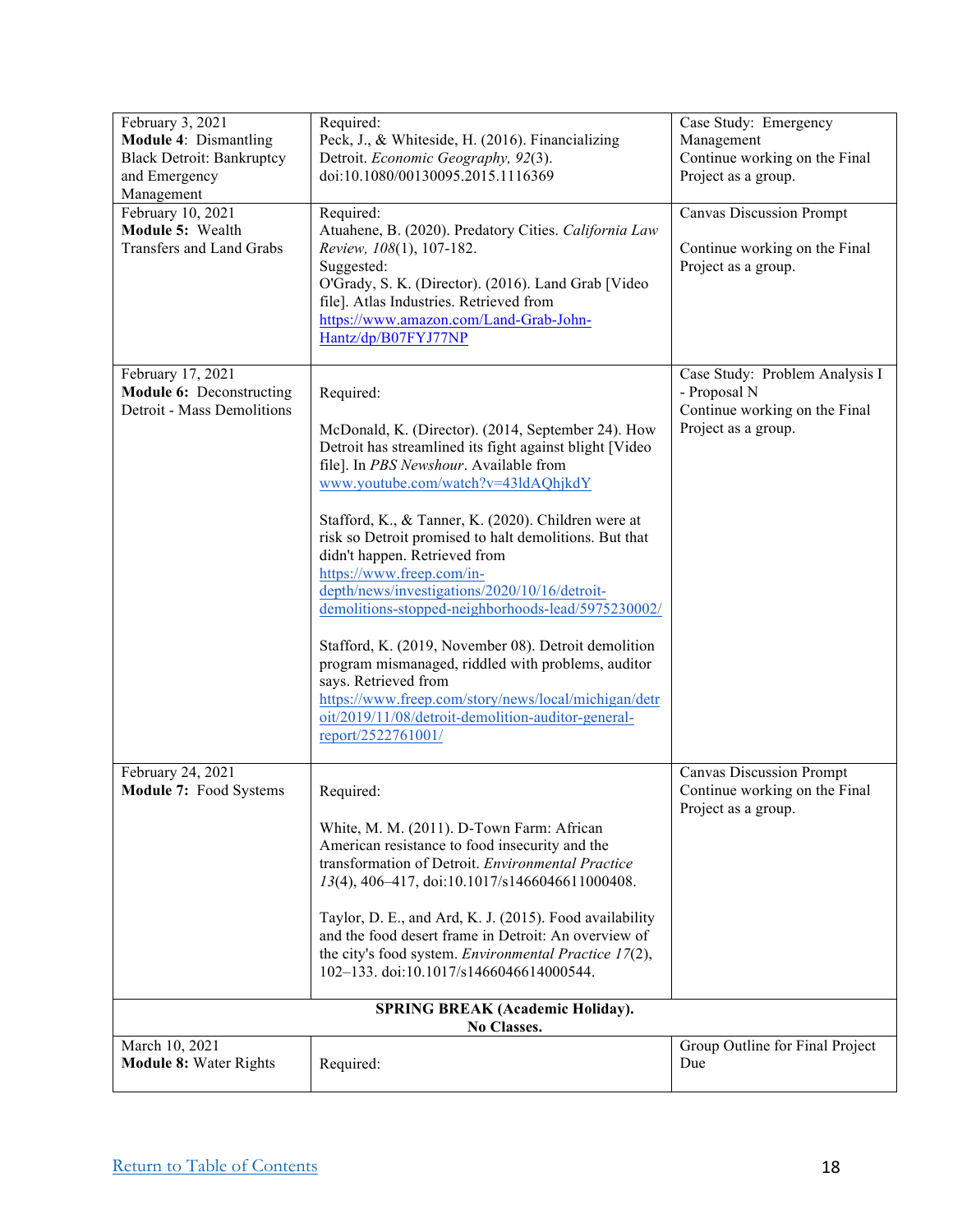| February 3, 2021                                | Required:                                                                                                       | Case Study: Emergency                                |  |  |
|-------------------------------------------------|-----------------------------------------------------------------------------------------------------------------|------------------------------------------------------|--|--|
| <b>Module 4: Dismantling</b>                    | Peck, J., & Whiteside, H. (2016). Financializing                                                                | Management                                           |  |  |
| <b>Black Detroit: Bankruptcy</b>                | Detroit. Economic Geography, 92(3).                                                                             | Continue working on the Final                        |  |  |
| and Emergency<br>Management                     | doi:10.1080/00130095.2015.1116369                                                                               | Project as a group.                                  |  |  |
| February 10, 2021                               | Required:                                                                                                       | <b>Canvas Discussion Prompt</b>                      |  |  |
| Module 5: Wealth                                | Atuahene, B. (2020). Predatory Cities. California Law                                                           |                                                      |  |  |
| Transfers and Land Grabs                        | Review, 108(1), 107-182.                                                                                        | Continue working on the Final                        |  |  |
|                                                 | Suggested:                                                                                                      | Project as a group.                                  |  |  |
|                                                 | O'Grady, S. K. (Director). (2016). Land Grab [Video                                                             |                                                      |  |  |
|                                                 | file]. Atlas Industries. Retrieved from                                                                         |                                                      |  |  |
|                                                 | https://www.amazon.com/Land-Grab-John-                                                                          |                                                      |  |  |
|                                                 | Hantz/dp/B07FYJ77NP                                                                                             |                                                      |  |  |
| February 17, 2021                               |                                                                                                                 | Case Study: Problem Analysis I                       |  |  |
| Module 6: Deconstructing                        | Required:                                                                                                       | - Proposal N                                         |  |  |
| <b>Detroit - Mass Demolitions</b>               |                                                                                                                 | Continue working on the Final                        |  |  |
|                                                 | McDonald, K. (Director). (2014, September 24). How                                                              | Project as a group.                                  |  |  |
|                                                 | Detroit has streamlined its fight against blight [Video]                                                        |                                                      |  |  |
|                                                 | file]. In PBS Newshour. Available from                                                                          |                                                      |  |  |
|                                                 | www.youtube.com/watch?v=43ldAQhjkdY                                                                             |                                                      |  |  |
|                                                 |                                                                                                                 |                                                      |  |  |
|                                                 | Stafford, K., & Tanner, K. (2020). Children were at<br>risk so Detroit promised to halt demolitions. But that   |                                                      |  |  |
|                                                 | didn't happen. Retrieved from                                                                                   |                                                      |  |  |
|                                                 | https://www.freep.com/in-                                                                                       |                                                      |  |  |
|                                                 | depth/news/investigations/2020/10/16/detroit-                                                                   |                                                      |  |  |
|                                                 | demolitions-stopped-neighborhoods-lead/5975230002/                                                              |                                                      |  |  |
|                                                 |                                                                                                                 |                                                      |  |  |
|                                                 | Stafford, K. (2019, November 08). Detroit demolition<br>program mismanaged, riddled with problems, auditor      |                                                      |  |  |
|                                                 | says. Retrieved from                                                                                            |                                                      |  |  |
|                                                 | https://www.freep.com/story/news/local/michigan/detr                                                            |                                                      |  |  |
|                                                 | oit/2019/11/08/detroit-demolition-auditor-general-                                                              |                                                      |  |  |
|                                                 | report/2522761001/                                                                                              |                                                      |  |  |
|                                                 |                                                                                                                 |                                                      |  |  |
| February 24, 2021                               |                                                                                                                 | <b>Canvas Discussion Prompt</b>                      |  |  |
| Module 7: Food Systems                          | Required:                                                                                                       | Continue working on the Final<br>Project as a group. |  |  |
|                                                 | White, M. M. (2011). D-Town Farm: African                                                                       |                                                      |  |  |
|                                                 | American resistance to food insecurity and the                                                                  |                                                      |  |  |
|                                                 | transformation of Detroit. Environmental Practice                                                               |                                                      |  |  |
|                                                 | 13(4), 406-417, doi:10.1017/s1466046611000408.                                                                  |                                                      |  |  |
|                                                 |                                                                                                                 |                                                      |  |  |
|                                                 | Taylor, D. E., and Ard, K. J. (2015). Food availability<br>and the food desert frame in Detroit: An overview of |                                                      |  |  |
|                                                 | the city's food system. Environmental Practice 17(2),                                                           |                                                      |  |  |
|                                                 | 102-133. doi:10.1017/s1466046614000544.                                                                         |                                                      |  |  |
|                                                 |                                                                                                                 |                                                      |  |  |
|                                                 | <b>SPRING BREAK (Academic Holiday).</b>                                                                         |                                                      |  |  |
|                                                 | No Classes.                                                                                                     |                                                      |  |  |
| March 10, 2021<br><b>Module 8: Water Rights</b> |                                                                                                                 | Group Outline for Final Project<br>Due               |  |  |
|                                                 | Required:                                                                                                       |                                                      |  |  |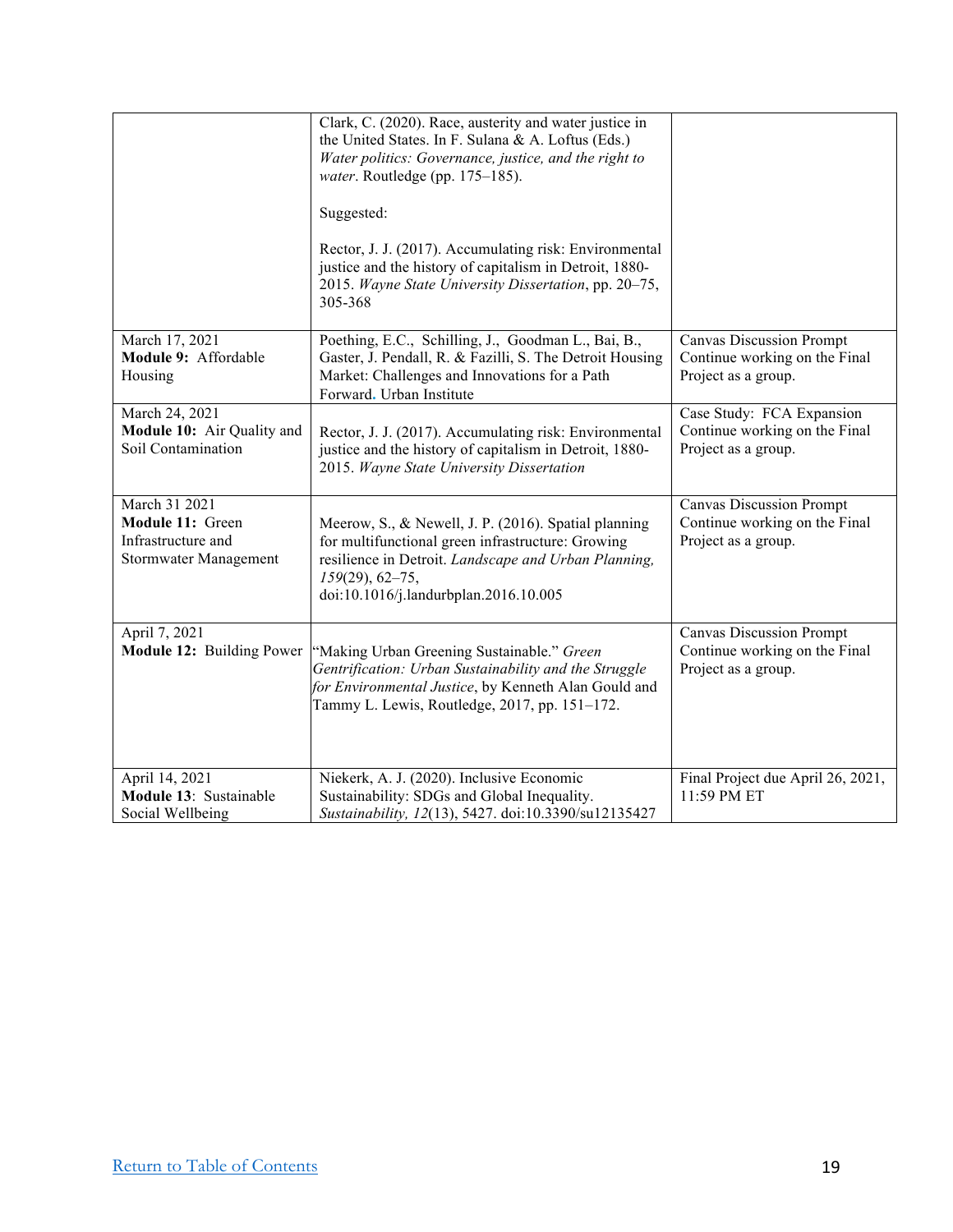|                              | Clark, C. (2020). Race, austerity and water justice in                                              |                                                      |
|------------------------------|-----------------------------------------------------------------------------------------------------|------------------------------------------------------|
|                              | the United States. In F. Sulana & A. Loftus (Eds.)                                                  |                                                      |
|                              | Water politics: Governance, justice, and the right to                                               |                                                      |
|                              | water. Routledge (pp. 175-185).                                                                     |                                                      |
|                              | Suggested:                                                                                          |                                                      |
|                              |                                                                                                     |                                                      |
|                              | Rector, J. J. (2017). Accumulating risk: Environmental                                              |                                                      |
|                              | justice and the history of capitalism in Detroit, 1880-                                             |                                                      |
|                              | 2015. Wayne State University Dissertation, pp. 20-75,<br>305-368                                    |                                                      |
|                              |                                                                                                     |                                                      |
| March 17, 2021               | Poething, E.C., Schilling, J., Goodman L., Bai, B.,                                                 | <b>Canvas Discussion Prompt</b>                      |
| Module 9: Affordable         | Gaster, J. Pendall, R. & Fazilli, S. The Detroit Housing                                            | Continue working on the Final                        |
| Housing                      | Market: Challenges and Innovations for a Path<br>Forward. Urban Institute                           | Project as a group.                                  |
| March 24, 2021               |                                                                                                     | Case Study: FCA Expansion                            |
| Module 10: Air Quality and   | Rector, J. J. (2017). Accumulating risk: Environmental                                              | Continue working on the Final                        |
| Soil Contamination           | justice and the history of capitalism in Detroit, 1880-                                             | Project as a group.                                  |
|                              | 2015. Wayne State University Dissertation                                                           |                                                      |
| March 31 2021                |                                                                                                     | <b>Canvas Discussion Prompt</b>                      |
| Module 11: Green             | Meerow, S., & Newell, J. P. (2016). Spatial planning                                                | Continue working on the Final                        |
| Infrastructure and           | for multifunctional green infrastructure: Growing                                                   | Project as a group.                                  |
| <b>Stormwater Management</b> | resilience in Detroit. Landscape and Urban Planning,<br>$159(29), 62-75,$                           |                                                      |
|                              | doi:10.1016/j.landurbplan.2016.10.005                                                               |                                                      |
|                              |                                                                                                     |                                                      |
| April 7, 2021                |                                                                                                     | <b>Canvas Discussion Prompt</b>                      |
| Module 12: Building Power    | "Making Urban Greening Sustainable." Green<br>Gentrification: Urban Sustainability and the Struggle | Continue working on the Final<br>Project as a group. |
|                              | for Environmental Justice, by Kenneth Alan Gould and                                                |                                                      |
|                              | Tammy L. Lewis, Routledge, 2017, pp. 151-172.                                                       |                                                      |
|                              |                                                                                                     |                                                      |
|                              |                                                                                                     |                                                      |
| April 14, 2021               | Niekerk, A. J. (2020). Inclusive Economic                                                           | Final Project due April 26, 2021,                    |
| Module 13: Sustainable       | Sustainability: SDGs and Global Inequality.                                                         | 11:59 PM ET                                          |
| Social Wellbeing             | Sustainability, 12(13), 5427. doi:10.3390/su12135427                                                |                                                      |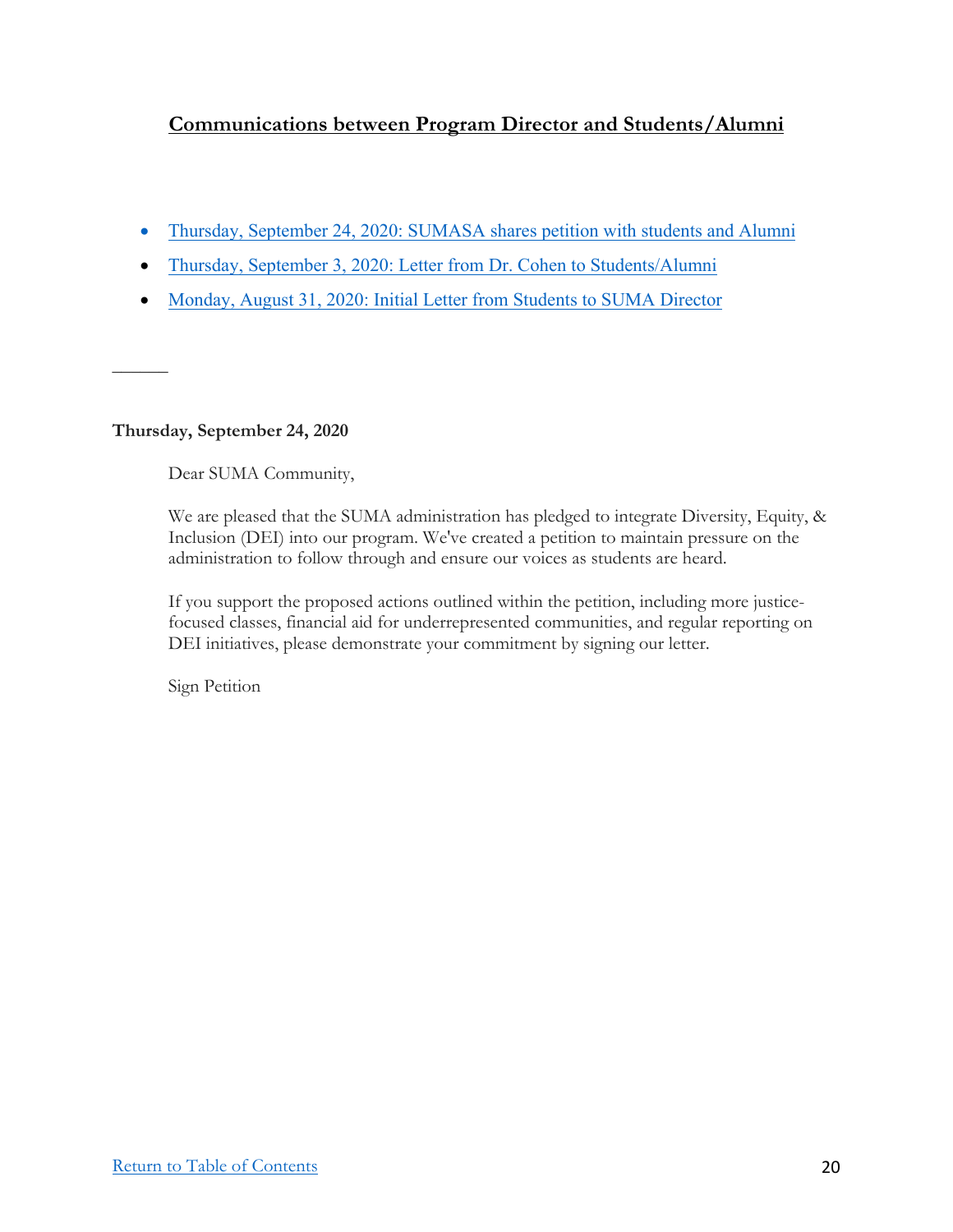# **Communications between Program Director and Students/Alumni**

- Thursday, September 24, 2020: SUMASA shares petition with students and Alumni
- Thursday, September 3, 2020: Letter from Dr. Cohen to Students/Alumni
- Monday, August 31, 2020: Initial Letter from Students to SUMA Director

## **Thursday, September 24, 2020**

*\_\_\_\_\_\_*

Dear SUMA Community,

We are pleased that the SUMA administration has pledged to integrate Diversity, Equity, & Inclusion (DEI) into our program. We've created a petition to maintain pressure on the administration to follow through and ensure our voices as students are heard.

If you support the proposed actions outlined within the petition, including more justicefocused classes, financial aid for underrepresented communities, and regular reporting on DEI initiatives, please demonstrate your commitment by signing our letter.

Sign Petition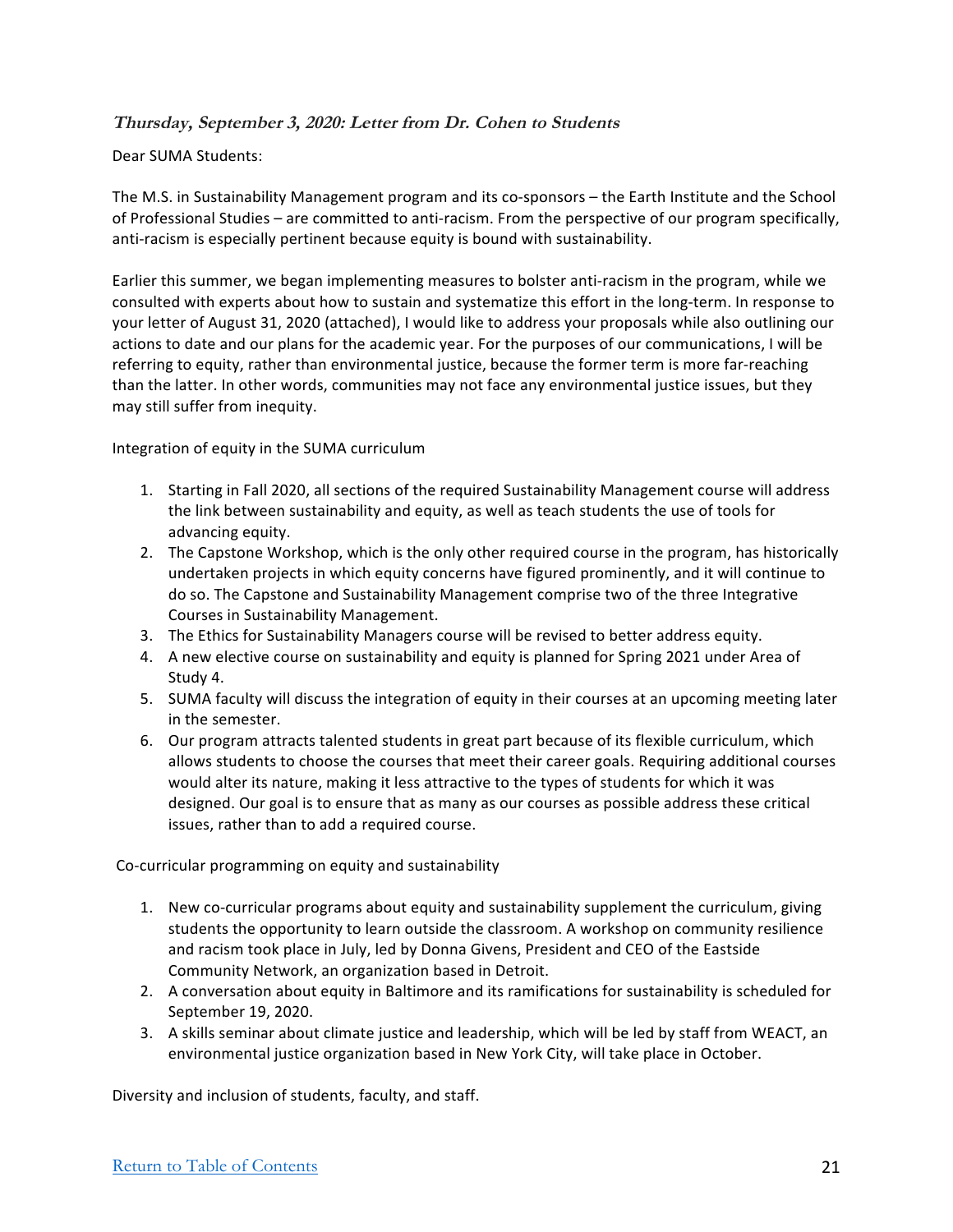## **Thursday, September 3, 2020: Letter from Dr. Cohen to Students**

## Dear SUMA Students:

The M.S. in Sustainability Management program and its co-sponsors - the Earth Institute and the School of Professional Studies – are committed to anti-racism. From the perspective of our program specifically, anti-racism is especially pertinent because equity is bound with sustainability.

Earlier this summer, we began implementing measures to bolster anti-racism in the program, while we consulted with experts about how to sustain and systematize this effort in the long-term. In response to your letter of August 31, 2020 (attached), I would like to address your proposals while also outlining our actions to date and our plans for the academic year. For the purposes of our communications, I will be referring to equity, rather than environmental justice, because the former term is more far-reaching than the latter. In other words, communities may not face any environmental justice issues, but they may still suffer from inequity.

Integration of equity in the SUMA curriculum

- 1. Starting in Fall 2020, all sections of the required Sustainability Management course will address the link between sustainability and equity, as well as teach students the use of tools for advancing equity.
- 2. The Capstone Workshop, which is the only other required course in the program, has historically undertaken projects in which equity concerns have figured prominently, and it will continue to do so. The Capstone and Sustainability Management comprise two of the three Integrative Courses in Sustainability Management.
- 3. The Ethics for Sustainability Managers course will be revised to better address equity.
- 4. A new elective course on sustainability and equity is planned for Spring 2021 under Area of Study 4.
- 5. SUMA faculty will discuss the integration of equity in their courses at an upcoming meeting later in the semester.
- 6. Our program attracts talented students in great part because of its flexible curriculum, which allows students to choose the courses that meet their career goals. Requiring additional courses would alter its nature, making it less attractive to the types of students for which it was designed. Our goal is to ensure that as many as our courses as possible address these critical issues, rather than to add a required course.

Co-curricular programming on equity and sustainability

- 1. New co-curricular programs about equity and sustainability supplement the curriculum, giving students the opportunity to learn outside the classroom. A workshop on community resilience and racism took place in July, led by Donna Givens, President and CEO of the Eastside Community Network, an organization based in Detroit.
- 2. A conversation about equity in Baltimore and its ramifications for sustainability is scheduled for September 19, 2020.
- 3. A skills seminar about climate justice and leadership, which will be led by staff from WEACT, an environmental justice organization based in New York City, will take place in October.

Diversity and inclusion of students, faculty, and staff.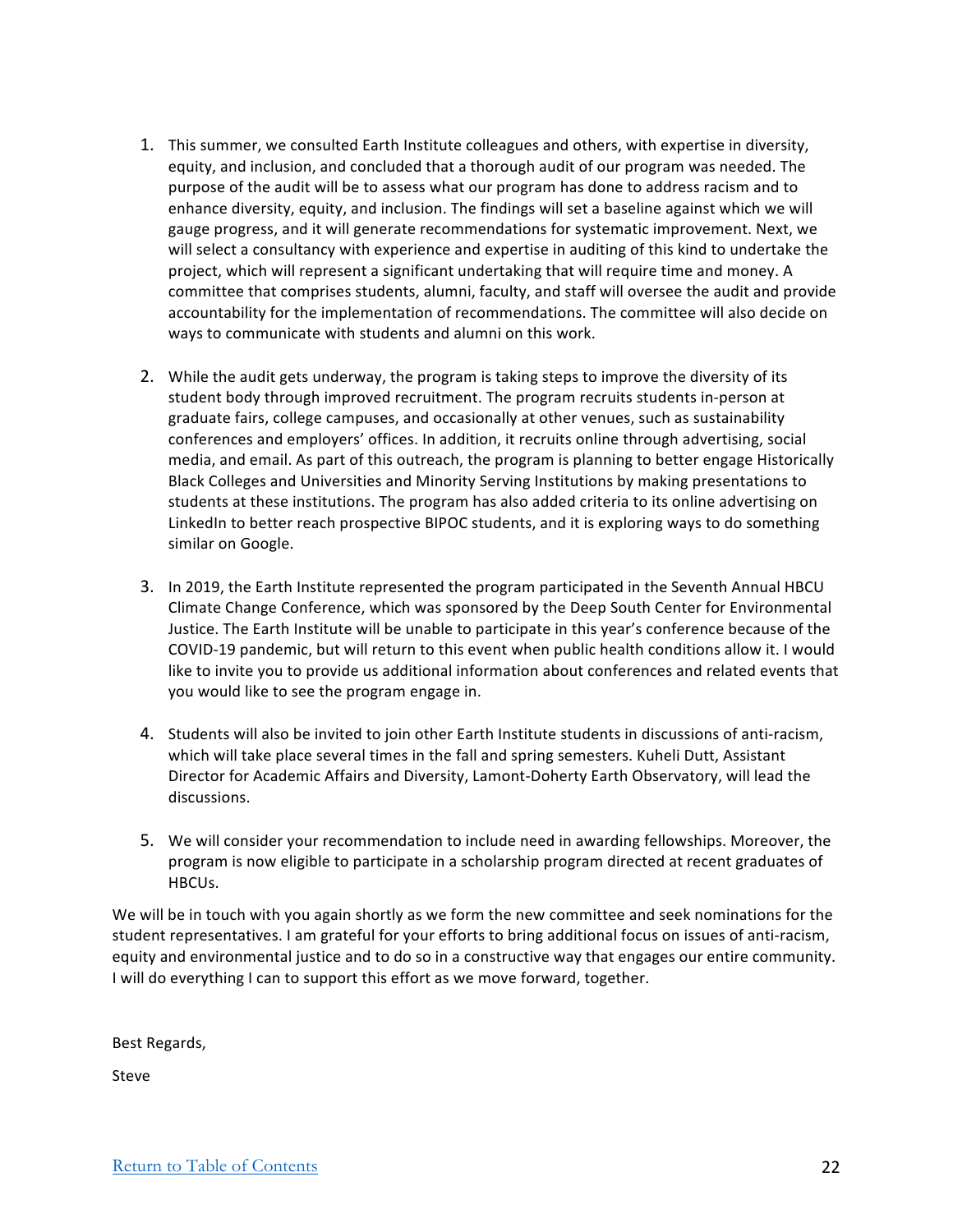- 1. This summer, we consulted Earth Institute colleagues and others, with expertise in diversity, equity, and inclusion, and concluded that a thorough audit of our program was needed. The purpose of the audit will be to assess what our program has done to address racism and to enhance diversity, equity, and inclusion. The findings will set a baseline against which we will gauge progress, and it will generate recommendations for systematic improvement. Next, we will select a consultancy with experience and expertise in auditing of this kind to undertake the project, which will represent a significant undertaking that will require time and money. A committee that comprises students, alumni, faculty, and staff will oversee the audit and provide accountability for the implementation of recommendations. The committee will also decide on ways to communicate with students and alumni on this work.
- 2. While the audit gets underway, the program is taking steps to improve the diversity of its student body through improved recruitment. The program recruits students in-person at graduate fairs, college campuses, and occasionally at other venues, such as sustainability conferences and employers' offices. In addition, it recruits online through advertising, social media, and email. As part of this outreach, the program is planning to better engage Historically Black Colleges and Universities and Minority Serving Institutions by making presentations to students at these institutions. The program has also added criteria to its online advertising on LinkedIn to better reach prospective BIPOC students, and it is exploring ways to do something similar on Google.
- 3. In 2019, the Earth Institute represented the program participated in the Seventh Annual HBCU Climate Change Conference, which was sponsored by the Deep South Center for Environmental Justice. The Earth Institute will be unable to participate in this year's conference because of the COVID-19 pandemic, but will return to this event when public health conditions allow it. I would like to invite you to provide us additional information about conferences and related events that you would like to see the program engage in.
- 4. Students will also be invited to join other Earth Institute students in discussions of anti-racism, which will take place several times in the fall and spring semesters. Kuheli Dutt, Assistant Director for Academic Affairs and Diversity, Lamont-Doherty Earth Observatory, will lead the discussions.
- 5. We will consider your recommendation to include need in awarding fellowships. Moreover, the program is now eligible to participate in a scholarship program directed at recent graduates of HBCUs.

We will be in touch with you again shortly as we form the new committee and seek nominations for the student representatives. I am grateful for your efforts to bring additional focus on issues of anti-racism, equity and environmental justice and to do so in a constructive way that engages our entire community. I will do everything I can to support this effort as we move forward, together.

Best Regards,

Steve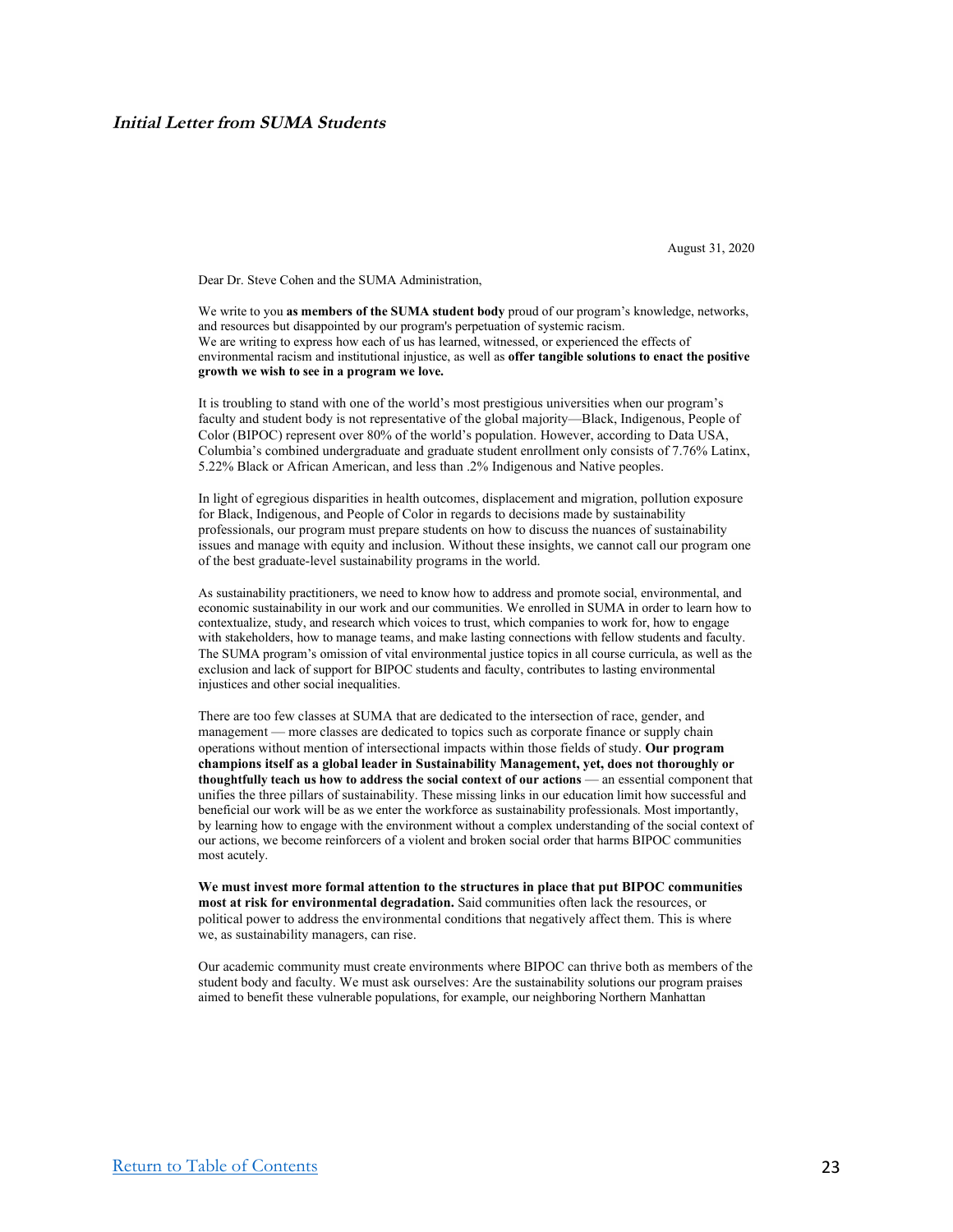August 31, 2020

Dear Dr. Steve Cohen and the SUMA Administration,

We write to you **as members of the SUMA student body** proud of our program's knowledge, networks, and resources but disappointed by our program's perpetuation of systemic racism. We are writing to express how each of us has learned, witnessed, or experienced the effects of environmental racism and institutional injustice, as well as **offer tangible solutions to enact the positive growth we wish to see in a program we love.**

It is troubling to stand with one of the world's most prestigious universities when our program's faculty and student body is not representative of the global majority—Black, Indigenous, People of Color (BIPOC) represent over 80% of the world's population. However, according to Data USA, Columbia's combined undergraduate and graduate student enrollment only consists of 7.76% Latinx, 5.22% Black or African American, and less than .2% Indigenous and Native peoples.

In light of egregious disparities in health outcomes, displacement and migration, pollution exposure for Black, Indigenous, and People of Color in regards to decisions made by sustainability professionals, our program must prepare students on how to discuss the nuances of sustainability issues and manage with equity and inclusion. Without these insights, we cannot call our program one of the best graduate-level sustainability programs in the world.

As sustainability practitioners, we need to know how to address and promote social, environmental, and economic sustainability in our work and our communities. We enrolled in SUMA in order to learn how to contextualize, study, and research which voices to trust, which companies to work for, how to engage with stakeholders, how to manage teams, and make lasting connections with fellow students and faculty. The SUMA program's omission of vital environmental justice topics in all course curricula, as well as the exclusion and lack of support for BIPOC students and faculty, contributes to lasting environmental injustices and other social inequalities.

There are too few classes at SUMA that are dedicated to the intersection of race, gender, and management — more classes are dedicated to topics such as corporate finance or supply chain operations without mention of intersectional impacts within those fields of study. **Our program champions itself as a global leader in Sustainability Management, yet, does not thoroughly or thoughtfully teach us how to address the social context of our actions** — an essential component that unifies the three pillars of sustainability. These missing links in our education limit how successful and beneficial our work will be as we enter the workforce as sustainability professionals. Most importantly, by learning how to engage with the environment without a complex understanding of the social context of our actions, we become reinforcers of a violent and broken social order that harms BIPOC communities most acutely.

**We must invest more formal attention to the structures in place that put BIPOC communities most at risk for environmental degradation.** Said communities often lack the resources, or political power to address the environmental conditions that negatively affect them. This is where we, as sustainability managers, can rise.

Our academic community must create environments where BIPOC can thrive both as members of the student body and faculty. We must ask ourselves: Are the sustainability solutions our program praises aimed to benefit these vulnerable populations, for example, our neighboring Northern Manhattan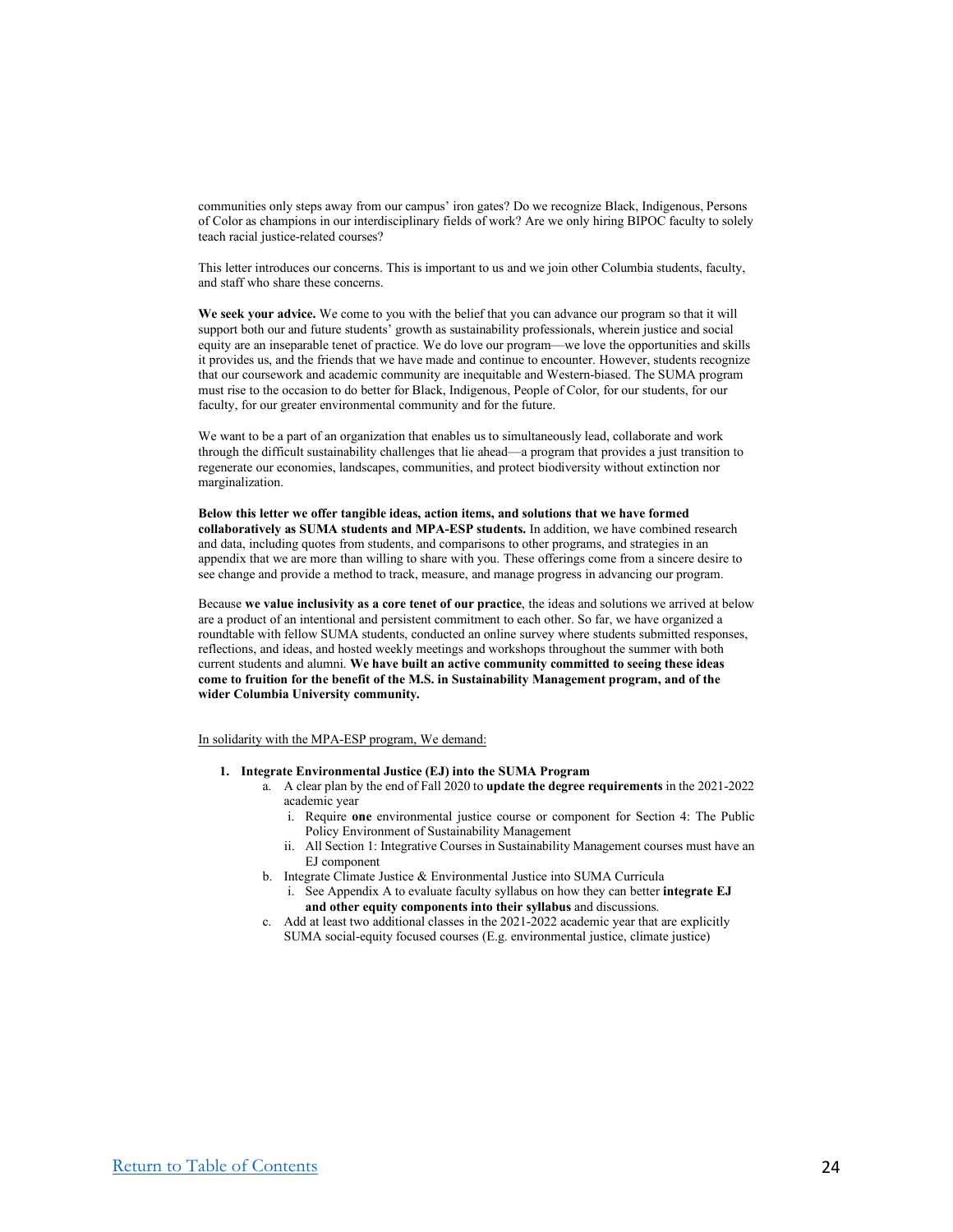communities only steps away from our campus' iron gates? Do we recognize Black, Indigenous, Persons of Color as champions in our interdisciplinary fields of work? Are we only hiring BIPOC faculty to solely teach racial justice-related courses?

This letter introduces our concerns. This is important to us and we join other Columbia students, faculty, and staff who share these concerns.

**We seek your advice.** We come to you with the belief that you can advance our program so that it will support both our and future students' growth as sustainability professionals, wherein justice and social equity are an inseparable tenet of practice. We do love our program—we love the opportunities and skills it provides us, and the friends that we have made and continue to encounter. However, students recognize that our coursework and academic community are inequitable and Western-biased. The SUMA program must rise to the occasion to do better for Black, Indigenous, People of Color, for our students, for our faculty, for our greater environmental community and for the future.

We want to be a part of an organization that enables us to simultaneously lead, collaborate and work through the difficult sustainability challenges that lie ahead—a program that provides a just transition to regenerate our economies, landscapes, communities, and protect biodiversity without extinction nor marginalization.

**Below this letter we offer tangible ideas, action items, and solutions that we have formed collaboratively as SUMA students and MPA-ESP students.** In addition, we have combined research and data, including quotes from students, and comparisons to other programs, and strategies in an appendix that we are more than willing to share with you. These offerings come from a sincere desire to see change and provide a method to track, measure, and manage progress in advancing our program.

Because **we value inclusivity as a core tenet of our practice**, the ideas and solutions we arrived at below are a product of an intentional and persistent commitment to each other. So far, we have organized a roundtable with fellow SUMA students, conducted an online survey where students submitted responses, reflections, and ideas, and hosted weekly meetings and workshops throughout the summer with both current students and alumni. **We have built an active community committed to seeing these ideas come to fruition for the benefit of the M.S. in Sustainability Management program, and of the wider Columbia University community.**

In solidarity with the MPA-ESP program, We demand:

- **1. Integrate Environmental Justice (EJ) into the SUMA Program**
	- a. A clear plan by the end of Fall 2020 to **update the degree requirements** in the 2021-2022 academic year
		- i. Require **one** environmental justice course or component for Section 4: The Public Policy Environment of Sustainability Management
		- ii. All Section 1: Integrative Courses in Sustainability Management courses must have an EJ component
	- b. Integrate Climate Justice & Environmental Justice into SUMA Curricula
		- i. See Appendix A to evaluate faculty syllabus on how they can better **integrate EJ and other equity components into their syllabus** and discussions.
	- c. Add at least two additional classes in the 2021-2022 academic year that are explicitly SUMA social-equity focused courses (E.g. environmental justice, climate justice)